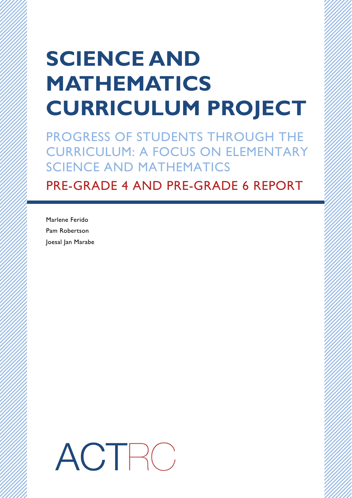# **SCIENCE AND MATHEMATICS CURRICULUM PROJECT**

PROGRESS OF STUDENTS THROUGH THE CURRICULUM: A FOCUS ON ELEMENTARY SCIENCE AND MATHEMATICS

PRE-GRADE 4 AND PRE-GRADE 6 REPORT

Marlene Ferido Pam Robertson Joesal Jan Marabe

ACTRO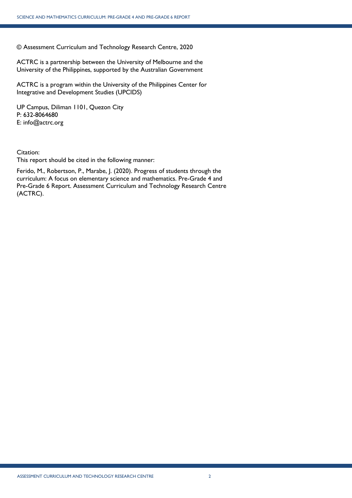© Assessment Curriculum and Technology Research Centre, 2020

ACTRC is a partnership between the University of Melbourne and the University of the Philippines, supported by the Australian Government

ACTRC is a program within the University of the Philippines Center for Integrative and Development Studies (UPCIDS)

UP Campus, Diliman 1101, Quezon City P: 632-8064680 E: info@actrc.org

Citation:

This report should be cited in the following manner:

Ferido, M., Robertson, P., Marabe, J. (2020). Progress of students through the curriculum: A focus on elementary science and mathematics. Pre-Grade 4 and Pre-Grade 6 Report. Assessment Curriculum and Technology Research Centre (ACTRC).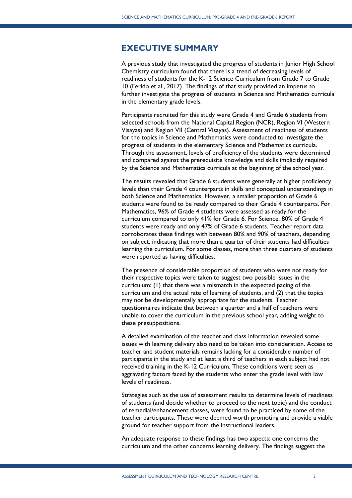# <span id="page-2-0"></span>**EXECUTIVE SUMMARY**

A previous study that investigated the progress of students in Junior High School Chemistry curriculum found that there is a trend of decreasing levels of readiness of students for the K-12 Science Curriculum from Grade 7 to Grade 10 (Ferido et al., 2017). The findings of that study provided an impetus to further investigate the progress of students in Science and Mathematics curricula in the elementary grade levels.

Participants recruited for this study were Grade 4 and Grade 6 students from selected schools from the National Capital Region (NCR), Region VI (Western Visayas) and Region VII (Central Visayas). Assessment of readiness of students for the topics in Science and Mathematics were conducted to investigate the progress of students in the elementary Science and Mathematics curricula. Through the assessment, levels of proficiency of the students were determined and compared against the prerequisite knowledge and skills implicitly required by the Science and Mathematics curricula at the beginning of the school year.

The results revealed that Grade 6 students were generally at higher proficiency levels than their Grade 4 counterparts in skills and conceptual understandings in both Science and Mathematics. However, a smaller proportion of Grade 6 students were found to be ready compared to their Grade 4 counterparts. For Mathematics, 96% of Grade 4 students were assessed as ready for the curriculum compared to only 41% for Grade 6. For Science, 80% of Grade 4 students were ready and only 47% of Grade 6 students. Teacher report data corroborates these findings with between 80% and 90% of teachers, depending on subject, indicating that more than a quarter of their students had difficulties learning the curriculum. For some classes, more than three quarters of students were reported as having difficulties.

The presence of considerable proportion of students who were not ready for their respective topics were taken to suggest two possible issues in the curriculum: (1) that there was a mismatch in the expected pacing of the curriculum and the actual rate of learning of students, and (2) that the topics may not be developmentally appropriate for the students. Teacher questionnaires indicate that between a quarter and a half of teachers were unable to cover the curriculum in the previous school year, adding weight to these presuppositions.

A detailed examination of the teacher and class information revealed some issues with learning delivery also need to be taken into consideration. Access to teacher and student materials remains lacking for a considerable number of participants in the study and at least a third of teachers in each subject had not received training in the K-12 Curriculum. These conditions were seen as aggravating factors faced by the students who enter the grade level with low levels of readiness.

Strategies such as the use of assessment results to determine levels of readiness of students (and decide whether to proceed to the next topic) and the conduct of remedial/enhancement classes, were found to be practiced by some of the teacher participants. These were deemed worth promoting and provide a viable ground for teacher support from the instructional leaders.

An adequate response to these findings has two aspects: one concerns the curriculum and the other concerns learning delivery. The findings suggest the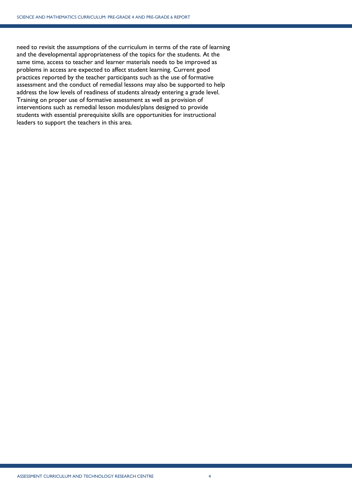need to revisit the assumptions of the curriculum in terms of the rate of learning and the developmental appropriateness of the topics for the students. At the same time, access to teacher and learner materials needs to be improved as problems in access are expected to affect student learning. Current good practices reported by the teacher participants such as the use of formative assessment and the conduct of remedial lessons may also be supported to help address the low levels of readiness of students already entering a grade level. Training on proper use of formative assessment as well as provision of interventions such as remedial lesson modules/plans designed to provide students with essential prerequisite skills are opportunities for instructional leaders to support the teachers in this area.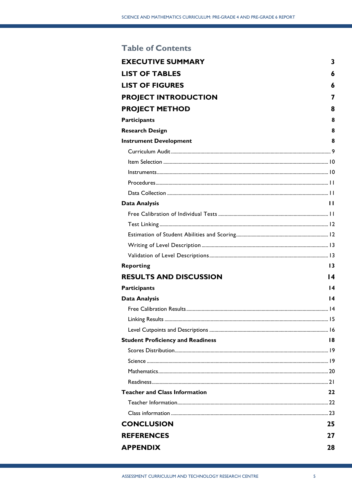# **Table of Contents**

| <b>EXECUTIVE SUMMARY</b>                 | 3               |
|------------------------------------------|-----------------|
| <b>LIST OF TABLES</b>                    | 6               |
| <b>LIST OF FIGURES</b>                   | 6               |
| <b>PROJECT INTRODUCTION</b>              | 7               |
| <b>PROJECT METHOD</b>                    | 8               |
| <b>Participants</b>                      | 8               |
| <b>Research Design</b>                   | 8               |
| <b>Instrument Development</b>            | 8               |
|                                          |                 |
|                                          |                 |
|                                          |                 |
|                                          |                 |
|                                          |                 |
| <b>Data Analysis</b>                     | $\blacksquare$  |
|                                          |                 |
|                                          |                 |
|                                          |                 |
|                                          |                 |
|                                          |                 |
| <b>Reporting</b>                         | 13              |
| <b>RESULTS AND DISCUSSION</b>            | 14              |
| <b>Participants</b>                      | $\overline{14}$ |
| <b>Data Analysis</b>                     | 14              |
|                                          |                 |
|                                          |                 |
|                                          |                 |
| <b>Student Proficiency and Readiness</b> | 18              |
|                                          |                 |
|                                          |                 |
|                                          |                 |
|                                          |                 |
| <b>Teacher and Class Information</b>     | 22              |
|                                          |                 |
|                                          |                 |
| <b>CONCLUSION</b>                        | 25              |
| <b>REFERENCES</b>                        | 27              |
| <b>APPENDIX</b>                          | 28              |
|                                          |                 |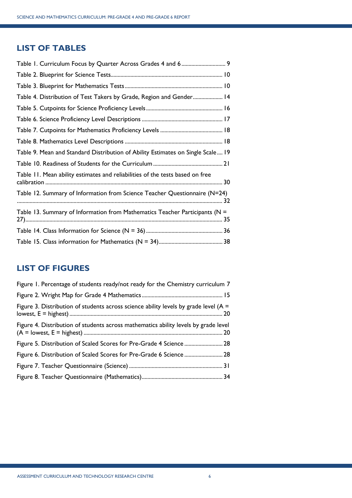# <span id="page-5-0"></span>**LIST OF TABLES**

| Table 1. Curriculum Focus by Quarter Across Grades 4 and 6 9                         |
|--------------------------------------------------------------------------------------|
|                                                                                      |
|                                                                                      |
| Table 4. Distribution of Test Takers by Grade, Region and Gender 14                  |
|                                                                                      |
|                                                                                      |
|                                                                                      |
|                                                                                      |
| Table 9. Mean and Standard Distribution of Ability Estimates on Single Scale 19      |
|                                                                                      |
| Table 11. Mean ability estimates and reliabilities of the tests based on free        |
| Table 12. Summary of Information from Science Teacher Questionnaire (N=24)           |
| Table 13. Summary of Information from Mathematics Teacher Participants ( $N =$<br>35 |
|                                                                                      |
|                                                                                      |

# <span id="page-5-1"></span>**LIST OF FIGURES**

| Figure 1. Percentage of students ready/not ready for the Chemistry curriculum 7         |  |
|-----------------------------------------------------------------------------------------|--|
|                                                                                         |  |
| Figure 3. Distribution of students across science ability levels by grade level ( $A =$ |  |
| Figure 4. Distribution of students across mathematics ability levels by grade level     |  |
| Figure 5. Distribution of Scaled Scores for Pre-Grade 4 Science 28                      |  |
|                                                                                         |  |
|                                                                                         |  |
|                                                                                         |  |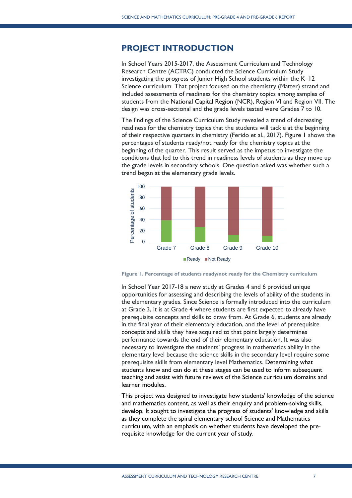# <span id="page-6-0"></span>**PROJECT INTRODUCTION**

In School Years 2015-2017, the Assessment Curriculum and Technology Research Centre (ACTRC) conducted the Science Curriculum Study investigating the progress of Junior High School students within the K–12 Science curriculum. That project focused on the chemistry (Matter) strand and included assessments of readiness for the chemistry topics among samples of students from the National Capital Region (NCR), Region VI and Region VII. The design was cross-sectional and the grade levels tested were Grades 7 to 10.

The findings of the Science Curriculum Study revealed a trend of decreasing readiness for the chemistry topics that the students will tackle at the beginning of their respective quarters in chemistry (Ferido et al., 2017). [Figure 1](#page-6-1) shows the percentages of students ready/not ready for the chemistry topics at the beginning of the quarter. This result served as the impetus to investigate the conditions that led to this trend in readiness levels of students as they move up the grade levels in secondary schools. One question asked was whether such a trend began at the elementary grade levels.



<span id="page-6-1"></span>

In School Year 2017-18 a new study at Grades 4 and 6 provided unique opportunities for assessing and describing the levels of ability of the students in the elementary grades. Since Science is formally introduced into the curriculum at Grade 3, it is at Grade 4 where students are first expected to already have prerequisite concepts and skills to draw from. At Grade 6, students are already in the final year of their elementary education, and the level of prerequisite concepts and skills they have acquired to that point largely determines performance towards the end of their elementary education. It was also necessary to investigate the students' progress in mathematics ability in the elementary level because the science skills in the secondary level require some prerequisite skills from elementary level Mathematics. Determining what students know and can do at these stages can be used to inform subsequent teaching and assist with future reviews of the Science curriculum domains and learner modules.

This project was designed to investigate how students' knowledge of the science and mathematics content, as well as their enquiry and problem-solving skills, develop. It sought to investigate the progress of students' knowledge and skills as they complete the spiral elementary school Science and Mathematics curriculum, with an emphasis on whether students have developed the prerequisite knowledge for the current year of study.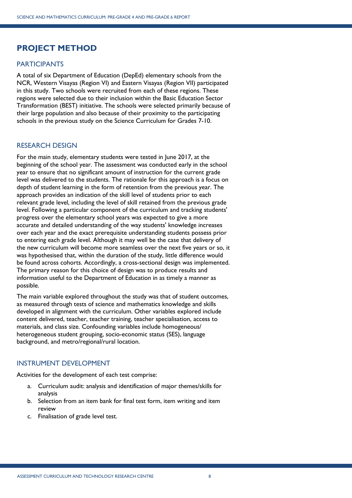# <span id="page-7-0"></span>**PROJECT METHOD**

# <span id="page-7-1"></span>PARTICIPANTS

A total of six Department of Education (DepEd) elementary schools from the NCR, Western Visayas (Region VI) and Eastern Visayas (Region VII) participated in this study. Two schools were recruited from each of these regions. These regions were selected due to their inclusion within the Basic Education Sector Transformation (BEST) initiative. The schools were selected primarily because of their large population and also because of their proximity to the participating schools in the previous study on the Science Curriculum for Grades 7-10.

# <span id="page-7-2"></span>RESEARCH DESIGN

For the main study, elementary students were tested in June 2017, at the beginning of the school year. The assessment was conducted early in the school year to ensure that no significant amount of instruction for the current grade level was delivered to the students. The rationale for this approach is a focus on depth of student learning in the form of retention from the previous year. The approach provides an indication of the skill level of students prior to each relevant grade level, including the level of skill retained from the previous grade level. Following a particular component of the curriculum and tracking students' progress over the elementary school years was expected to give a more accurate and detailed understanding of the way students' knowledge increases over each year and the exact prerequisite understanding students possess prior to entering each grade level. Although it may well be the case that delivery of the new curriculum will become more seamless over the next five years or so, it was hypothesised that, within the duration of the study, little difference would be found across cohorts. Accordingly, a cross-sectional design was implemented. The primary reason for this choice of design was to produce results and information useful to the Department of Education in as timely a manner as possible.

The main variable explored throughout the study was that of student outcomes, as measured through tests of science and mathematics knowledge and skills developed in alignment with the curriculum. Other variables explored include content delivered, teacher, teacher training, teacher specialisation, access to materials, and class size. Confounding variables include homogeneous/ heterogeneous student grouping, socio-economic status (SES), language background, and metro/regional/rural location.

## <span id="page-7-3"></span>INSTRUMENT DEVELOPMENT

Activities for the development of each test comprise:

- a. Curriculum audit: analysis and identification of major themes/skills for analysis
- b. Selection from an item bank for final test form, item writing and item review
- c. Finalisation of grade level test.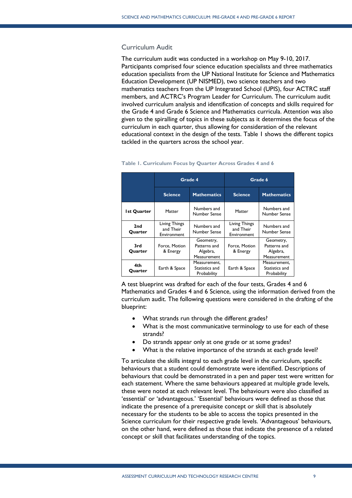## <span id="page-8-0"></span>Curriculum Audit

The curriculum audit was conducted in a workshop on May 9-10, 2017. Participants comprised four science education specialists and three mathematics education specialists from the UP National Institute for Science and Mathematics Education Development (UP NISMED), two science teachers and two mathematics teachers from the UP Integrated School (UPIS), four ACTRC staff members, and ACTRC's Program Leader for Curriculum. The curriculum audit involved curriculum analysis and identification of concepts and skills required for the Grade 4 and Grade 6 Science and Mathematics curricula. Attention was also given to the spiralling of topics in these subjects as it determines the focus of the curriculum in each quarter, thus allowing for consideration of the relevant educational context in the design of the tests. [Table 1](#page-8-1) shows the different topics tackled in the quarters across the school year.

|                                      | Grade 4                                   |                                                      | Grade 6                                   |                                                      |  |
|--------------------------------------|-------------------------------------------|------------------------------------------------------|-------------------------------------------|------------------------------------------------------|--|
| <b>Science</b><br><b>Mathematics</b> |                                           | <b>Science</b>                                       | <b>Mathematics</b>                        |                                                      |  |
| <b>Ist Quarter</b>                   | Matter                                    | Numbers and<br>Number Sense                          | Matter                                    | Numbers and<br>Number Sense                          |  |
| 2nd<br>Quarter                       | Living Things<br>and Their<br>Environment | Numbers and<br>Number Sense                          | Living Things<br>and Their<br>Environment | Numbers and<br>Number Sense                          |  |
| 3rd<br>Quarter                       | Force, Motion<br>& Energy                 | Geometry,<br>Patterns and<br>Algebra,<br>Measurement | Force, Motion<br>& Energy                 | Geometry,<br>Patterns and<br>Algebra,<br>Measurement |  |
| 4th<br>Quarter                       | Earth & Space                             | Measurement,<br>Statistics and<br>Probability        | Earth & Space                             | Measurement,<br>Statistics and<br>Probability        |  |

#### <span id="page-8-1"></span>**Table 1. Curriculum Focus by Quarter Across Grades 4 and 6**

A test blueprint was drafted for each of the four tests, Grades 4 and 6 Mathematics and Grades 4 and 6 Science, using the information derived from the curriculum audit. The following questions were considered in the drafting of the blueprint:

- What strands run through the different grades?
- What is the most communicative terminology to use for each of these strands?
- Do strands appear only at one grade or at some grades?
- What is the relative importance of the strands at each grade level?

To articulate the skills integral to each grade level in the curriculum, specific behaviours that a student could demonstrate were identified. Descriptions of behaviours that could be demonstrated in a pen and paper test were written for each statement. Where the same behaviours appeared at multiple grade levels, these were noted at each relevant level. The behaviours were also classified as 'essential' or 'advantageous.' 'Essential' behaviours were defined as those that indicate the presence of a prerequisite concept or skill that is absolutely necessary for the students to be able to access the topics presented in the Science curriculum for their respective grade levels. 'Advantageous' behaviours, on the other hand, were defined as those that indicate the presence of a related concept or skill that facilitates understanding of the topics.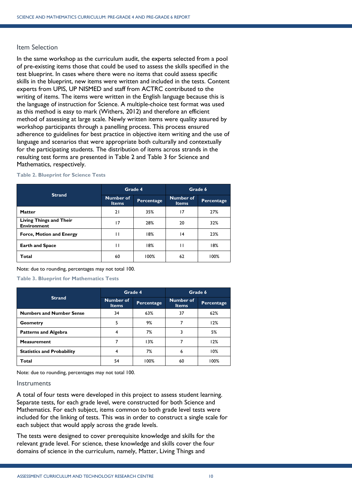# <span id="page-9-0"></span>Item Selection

In the same workshop as the curriculum audit, the experts selected from a pool of pre-existing items those that could be used to assess the skills specified in the test blueprint. In cases where there were no items that could assess specific skills in the blueprint, new items were written and included in the tests. Content experts from UPIS, UP NISMED and staff from ACTRC contributed to the writing of items. The items were written in the English language because this is the language of instruction for Science. A multiple-choice test format was used as this method is easy to mark (Withers, 2012) and therefore an efficient method of assessing at large scale. Newly written items were quality assured by workshop participants through a panelling process. This process ensured adherence to guidelines for best practice in objective item writing and the use of language and scenarios that were appropriate both culturally and contextually for the participating students. The distribution of items across strands in the resulting test forms are presented in [Table 2](#page-9-2) and [Table 3](#page-9-3) for Science and Mathematics, respectively.

| <b>Strand</b>                                        |                                  | Grade 4    | Grade 6                   |            |
|------------------------------------------------------|----------------------------------|------------|---------------------------|------------|
|                                                      | <b>Number of</b><br><b>Items</b> | Percentage | Number of<br><b>Items</b> | Percentage |
| <b>Matter</b>                                        | 21                               | 35%        | 17                        | 27%        |
| <b>Living Things and Their</b><br><b>Environment</b> | 17                               | 28%        | 20                        | 32%        |
| <b>Force, Motion and Energy</b>                      | п                                | 18%        | 14                        | 23%        |
| <b>Earth and Space</b>                               | П                                | 18%        | п                         | 18%        |
| Total                                                | 60                               | 100%       | 62                        | 100%       |

### <span id="page-9-2"></span>**Table 2. Blueprint for Science Tests**

Note: due to rounding, percentages may not total 100.

<span id="page-9-3"></span>**Table 3. Blueprint for Mathematics Tests**

| <b>Strand</b>                     |                                  | Grade 4    | Grade 6                          |            |
|-----------------------------------|----------------------------------|------------|----------------------------------|------------|
|                                   | <b>Number of</b><br><b>Items</b> | Percentage | <b>Number of</b><br><b>Items</b> | Percentage |
| <b>Numbers and Number Sense</b>   | 34                               | 63%        | 37                               | 62%        |
| <b>Geometry</b>                   | 5                                | 9%         | 7                                | 12%        |
| <b>Patterns and Algebra</b>       | 4                                | 7%         | 3                                | 5%         |
| <b>Measurement</b>                |                                  | 13%        |                                  | 12%        |
| <b>Statistics and Probability</b> | 4                                | 7%         | 6                                | 10%        |
| Total                             | 54                               | 100%       | 60                               | 100%       |

Note: due to rounding, percentages may not total 100.

## <span id="page-9-1"></span>**Instruments**

A total of four tests were developed in this project to assess student learning. Separate tests, for each grade level, were constructed for both Science and Mathematics. For each subject, items common to both grade level tests were included for the linking of tests. This was in order to construct a single scale for each subject that would apply across the grade levels.

The tests were designed to cover prerequisite knowledge and skills for the relevant grade level. For science, these knowledge and skills cover the four domains of science in the curriculum, namely, Matter, Living Things and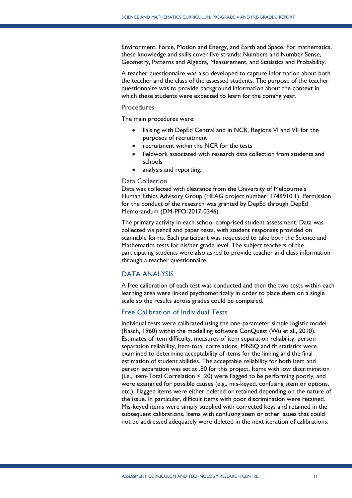Environment, Force, Motion and Energy, and Earth and Space. For mathematics, these knowledge and skills cover five strands: Numbers and Number Sense, Geometry, Patterns and Algebra, Measurement, and Statistics and Probability.

A teacher questionnaire was also developed to capture information about both the teacher and the class of the assessed students. The purpose of the teacher questionnaire was to provide background information about the context in which these students were expected to learn for the coming year.

## <span id="page-10-0"></span>Procedures

The main procedures were:

- liaising with DepEd Central and in NCR, Regions VI and VII for the purposes of recruitment
- recruitment within the NCR for the tests
- fieldwork associated with research data collection from students and schools
- analysis and reporting.

## <span id="page-10-1"></span>Data Collection

Data was collected with clearance from the University of Melbourne's Human Ethics Advisory Group (HEAG project number: 1748910.1). Permission for the conduct of the research was granted by DepEd through DepEd Memorandum (DM-PFO-2017-0346).

The primary activity in each school comprised student assessment. Data was collected via pencil and paper tests, with student responses provided on scannable forms. Each participant was requested to take both the Science and Mathematics tests for his/her grade level. The subject teachers of the participating students were also asked to provide teacher and class information through a teacher questionnaire.

## <span id="page-10-2"></span>DATA ANALYSIS

A free calibration of each test was conducted and then the two tests within each learning area were linked psychometrically in order to place them on a single scale so the results across grades could be compared.

## <span id="page-10-3"></span>Free Calibration of Individual Tests

Individual tests were calibrated using the one-parameter simple logistic model (Rasch, 1960) within the modelling software ConQuest (Wu et al., 2010). Estimates of item difficulty, measures of item separation reliability, person separation reliability, item-total correlations, MNSQ and fit statistics were examined to determine acceptability of items for the linking and the final estimation of student abilities. The acceptable reliability for both item and person separation was set at .80 for this project. Items with low discrimination (i.e., Item-Total Correlation < .20) were flagged to be performing poorly, and were examined for possible causes (e.g., mis-keyed, confusing stem or options, etc.). Flagged items were either deleted or retained depending on the nature of the issue. In particular, difficult items with poor discrimination were retained. Mis-keyed items were simply supplied with corrected keys and retained in the subsequent calibrations. Items with confusing stem or other issues that could not be addressed adequately were deleted in the next iteration of calibrations.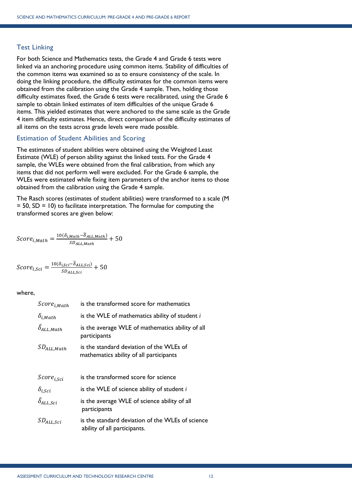# <span id="page-11-0"></span>Test Linking

For both Science and Mathematics tests, the Grade 4 and Grade 6 tests were linked via an anchoring procedure using common items. Stability of difficulties of the common items was examined so as to ensure consistency of the scale. In doing the linking procedure, the difficulty estimates for the common items were obtained from the calibration using the Grade 4 sample. Then, holding those difficulty estimates fixed, the Grade 6 tests were recalibrated, using the Grade 6 sample to obtain linked estimates of item difficulties of the unique Grade 6 items. This yielded estimates that were anchored to the same scale as the Grade 4 item difficulty estimates. Hence, direct comparison of the difficulty estimates of all items on the tests across grade levels were made possible.

# <span id="page-11-1"></span>Estimation of Student Abilities and Scoring

The estimates of student abilities were obtained using the Weighted Least Estimate (WLE) of person ability against the linked tests. For the Grade 4 sample, the WLEs were obtained from the final calibration, from which any items that did not perform well were excluded. For the Grade 6 sample, the WLEs were estimated while fixing item parameters of the anchor items to those obtained from the calibration using the Grade 4 sample.

The Rasch scores (estimates of student abilities) were transformed to a scale (M  $= 50$ , SD  $= 10$ ) to facilitate interpretation. The formulae for computing the transformed scores are given below:

$$
Score_{i,Math} = \frac{10(\delta_{i,Math} - \overline{\delta}_{ALL, Math})}{SD_{ALL, Math}} + 50
$$

$$
Score_{i, Sci} = \frac{10(\delta_{i, Sci} - \overline{\delta}_{ALL, Sci})}{SD_{ALL, Sci}} + 50
$$

## where,

| $Score_{i,Math}$          | is the transformed score for mathematics                                            |
|---------------------------|-------------------------------------------------------------------------------------|
| $\delta_{i, Math}$        | is the WLE of mathematics ability of student i                                      |
| $\delta_{ALL, Math}$      | is the average WLE of mathematics ability of all<br>participants                    |
| $SD_{ALL, Math}$          | is the standard deviation of the WLEs of<br>mathematics ability of all participants |
| Score <sub>i,Sci</sub>    | is the transformed score for science                                                |
| $\delta_{i, Sci}$         | is the WLE of science ability of student i                                          |
| $\bar{\delta}_{ALL, Sci}$ | is the average WLE of science ability of all<br>participants                        |
| $SD_{ALL, Sci}$           | is the standard deviation of the WLEs of science<br>ability of all participants.    |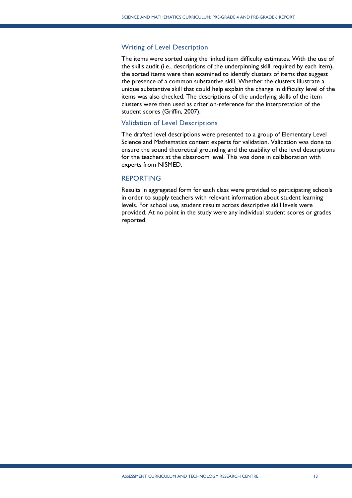## <span id="page-12-0"></span>Writing of Level Description

The items were sorted using the linked item difficulty estimates. With the use of the skills audit (i.e., descriptions of the underpinning skill required by each item), the sorted items were then examined to identify clusters of items that suggest the presence of a common substantive skill. Whether the clusters illustrate a unique substantive skill that could help explain the change in difficulty level of the items was also checked. The descriptions of the underlying skills of the item clusters were then used as criterion-reference for the interpretation of the student scores (Griffin, 2007).

## <span id="page-12-1"></span>Validation of Level Descriptions

The drafted level descriptions were presented to a group of Elementary Level Science and Mathematics content experts for validation. Validation was done to ensure the sound theoretical grounding and the usability of the level descriptions for the teachers at the classroom level. This was done in collaboration with experts from NISMED.

# <span id="page-12-2"></span>REPORTING

Results in aggregated form for each class were provided to participating schools in order to supply teachers with relevant information about student learning levels. For school use, student results across descriptive skill levels were provided. At no point in the study were any individual student scores or grades reported.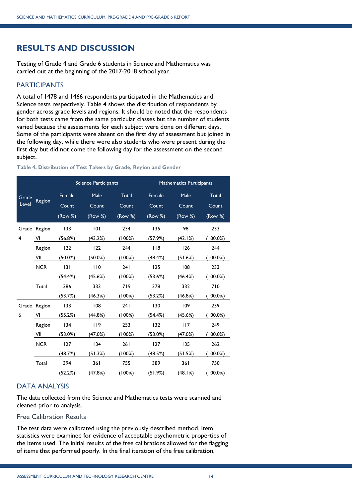# <span id="page-13-0"></span>**RESULTS AND DISCUSSION**

Testing of Grade 4 and Grade 6 students in Science and Mathematics was carried out at the beginning of the 2017-2018 school year.

# <span id="page-13-1"></span>PARTICIPANTS

A total of 1478 and 1466 respondents participated in the Mathematics and Science tests respectively. [Table 4](#page-13-4) shows the distribution of respondents by gender across grade levels and regions. It should be noted that the respondents for both tests came from the same particular classes but the number of students varied because the assessments for each subject were done on different days. Some of the participants were absent on the first day of assessment but joined in the following day, while there were also students who were present during the first day but did not come the following day for the assessment on the second subject.

## <span id="page-13-4"></span>**Table 4. Distribution of Test Takers by Grade, Region and Gender**

|                         |              | <b>Science Participants</b> |                          | <b>Mathematics Participants</b> |                            |                          |                           |
|-------------------------|--------------|-----------------------------|--------------------------|---------------------------------|----------------------------|--------------------------|---------------------------|
| Grade<br>Level          | Region       | Female<br>Count<br>(Row %)  | Male<br>Count<br>(Row %) | Total<br>Count<br>(Row %)       | Female<br>Count<br>(Row %) | Male<br>Count<br>(Row %) | Total<br>Count<br>(Row %) |
|                         | Grade Region | 133                         | 101                      | 234                             | 135                        | 98                       | 233                       |
| $\overline{\mathbf{4}}$ | VI           | (56.8%)                     | (43.2%)                  | (100%)                          | (57.9%)                    | (42.1%)                  | (100.0%)                  |
|                         | Region       | 122                         | 122                      | 244                             | 118                        | 126                      | 244                       |
|                         | VII          | $(50.0\%)$                  | $(50.0\%)$               | (100%)                          | (48.4%)                    | (51.6%)                  | (100.0%)                  |
|                         | <b>NCR</b>   | 3                           | 110                      | 241                             | 125                        | 108                      | 233                       |
|                         |              | (54.4%)                     | (45.6%)                  | (100%)                          | (53.6%)                    | (46.4%)                  | $(100.0\%)$               |
|                         | Total        | 386                         | 333                      | 719                             | 378                        | 332                      | 710                       |
|                         |              | (53.7%)                     | (46.3%)                  | (100%)                          | (53.2%)                    | (46.8%)                  | $(100.0\%)$               |
|                         | Grade Region | 133                         | 108                      | 241                             | 130                        | 109                      | 239                       |
| 6                       | VI           | (55.2%)                     | (44.8%)                  | (100%)                          | (54.4%)                    | (45.6%)                  | (100.0%)                  |
|                         | Region       | 134                         | 119                      | 253                             | 132                        | 117                      | 249                       |
|                         | VII          | (53.0%)                     | (47.0%)                  | (100%)                          | (53.0%)                    | (47.0%)                  | $(100.0\%)$               |
|                         | <b>NCR</b>   | 127                         | 134                      | 261                             | 127                        | 135                      | 262                       |
|                         |              | (48.7%)                     | (51.3%)                  | (100%)                          | (48.5%)                    | (51.5%)                  | (100.0%)                  |
|                         | Total        | 394                         | 361                      | 755                             | 389                        | 361                      | 750                       |
|                         |              | (52.2%)                     | (47.8%)                  | (100%)                          | (51.9%)                    | (48.I%)                  | $(100.0\%)$               |

# <span id="page-13-2"></span>DATA ANALYSIS

The data collected from the Science and Mathematics tests were scanned and cleaned prior to analysis.

# <span id="page-13-3"></span>Free Calibration Results

The test data were calibrated using the previously described method. Item statistics were examined for evidence of acceptable psychometric properties of the items used. The initial results of the free calibrations allowed for the flagging of items that performed poorly. In the final iteration of the free calibration,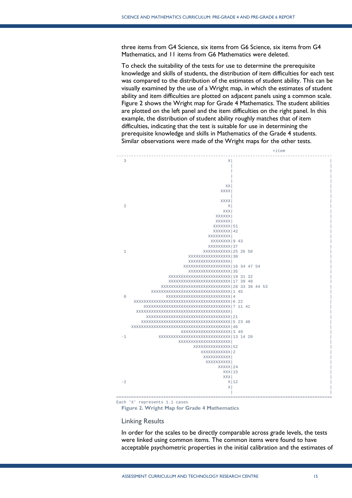three items from G4 Science, six items from G6 Science, six items from G4 Mathematics, and 11 items from G6 Mathematics were deleted.

To check the suitability of the tests for use to determine the prerequisite knowledge and skills of students, the distribution of item difficulties for each test was compared to the distribution of the estimates of student ability. This can be visually examined by the use of a Wright map, in which the estimates of student ability and item difficulties are plotted on adjacent panels using a common scale. [Figure 2](#page-14-1) shows the Wright map for Grade 4 Mathematics. The student abilities are plotted on the left panel and the item difficulties on the right panel. In this example, the distribution of student ability roughly matches that of item difficulties, indicating that the test is suitable for use in determining the prerequisite knowledge and skills in Mathematics of the Grade 4 students. Similar observations were made of the Wright maps for the other tests.



Each 'X' represents 1.1 cases

<span id="page-14-1"></span>**Figure 2. Wright Map for Grade 4 Mathematics**

#### <span id="page-14-0"></span>Linking Results

In order for the scales to be directly comparable across grade levels, the tests were linked using common items. The common items were found to have acceptable psychometric properties in the initial calibration and the estimates of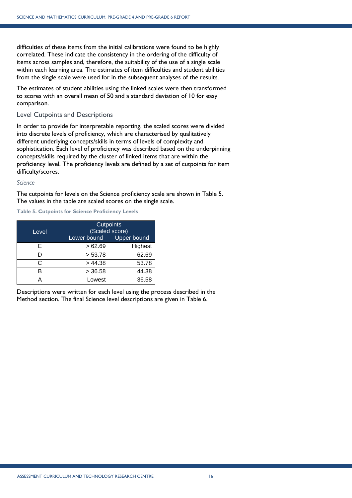difficulties of these items from the initial calibrations were found to be highly correlated. These indicate the consistency in the ordering of the difficulty of items across samples and, therefore, the suitability of the use of a single scale within each learning area. The estimates of item difficulties and student abilities from the single scale were used for in the subsequent analyses of the results.

The estimates of student abilities using the linked scales were then transformed to scores with an overall mean of 50 and a standard deviation of 10 for easy comparison.

# <span id="page-15-0"></span>Level Cutpoints and Descriptions

In order to provide for interpretable reporting, the scaled scores were divided into discrete levels of proficiency, which are characterised by qualitatively different underlying concepts/skills in terms of levels of complexity and sophistication. Each level of proficiency was described based on the underpinning concepts/skills required by the cluster of linked items that are within the proficiency level. The proficiency levels are defined by a set of cutpoints for item difficulty/scores.

## *Science*

The cutpoints for levels on the Science proficiency scale are shown in [Table 5.](#page-15-1) The values in the table are scaled scores on the single scale.

<span id="page-15-1"></span>**Table 5. Cutpoints for Science Proficiency Levels**

| Level | <b>Cutpoints</b><br>(Scaled score)<br>Lower bound<br><b>Upper bound</b> |         |  |
|-------|-------------------------------------------------------------------------|---------|--|
| F     | >62.69                                                                  | Highest |  |
| D     | > 53.78                                                                 | 62.69   |  |
| r.    | > 44.38                                                                 | 53.78   |  |
|       | > 36.58                                                                 | 44.38   |  |
|       | Lowest                                                                  | 36.58   |  |

<span id="page-15-2"></span>Descriptions were written for each level using the process described in the Method section. The final Science level descriptions are given in [Table 6.](#page-15-2)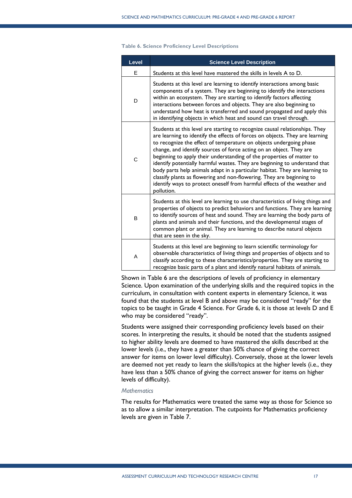| Level | <b>Science Level Description</b>                                                                                                                                                                                                                                                                                                                                                                                                                                                                                                                                                                                                                                                                                  |
|-------|-------------------------------------------------------------------------------------------------------------------------------------------------------------------------------------------------------------------------------------------------------------------------------------------------------------------------------------------------------------------------------------------------------------------------------------------------------------------------------------------------------------------------------------------------------------------------------------------------------------------------------------------------------------------------------------------------------------------|
| E     | Students at this level have mastered the skills in levels A to D.                                                                                                                                                                                                                                                                                                                                                                                                                                                                                                                                                                                                                                                 |
| D     | Students at this level are learning to identify interactions among basic<br>components of a system. They are beginning to identify the interactions<br>within an ecosystem. They are starting to identify factors affecting<br>interactions between forces and objects. They are also beginning to<br>understand how heat is transferred and sound propagated and apply this<br>in identifying objects in which heat and sound can travel through.                                                                                                                                                                                                                                                                |
| C     | Students at this level are starting to recognize causal relationships. They<br>are learning to identify the effects of forces on objects. They are learning<br>to recognize the effect of temperature on objects undergoing phase<br>change, and identify sources of force acting on an object. They are<br>beginning to apply their understanding of the properties of matter to<br>identify potentially harmful wastes. They are beginning to understand that<br>body parts help animals adapt in a particular habitat. They are learning to<br>classify plants as flowering and non-flowering. They are beginning to<br>identify ways to protect oneself from harmful effects of the weather and<br>pollution. |
| B     | Students at this level are learning to use characteristics of living things and<br>properties of objects to predict behaviors and functions. They are learning<br>to identify sources of heat and sound. They are learning the body parts of<br>plants and animals and their functions, and the developmental stages of<br>common plant or animal. They are learning to describe natural objects<br>that are seen in the sky.                                                                                                                                                                                                                                                                                     |
| A     | Students at this level are beginning to learn scientific terminology for<br>observable characteristics of living things and properties of objects and to<br>classify according to these characteristics/properties. They are starting to<br>recognize basic parts of a plant and identify natural habitats of animals.                                                                                                                                                                                                                                                                                                                                                                                            |

#### **Table 6. Science Proficiency Level Descriptions**

Shown in Table 6 are the descriptions of levels of proficiency in elementary Science. Upon examination of the underlying skills and the required topics in the curriculum, in consultation with content experts in elementary Science, it was found that the students at level B and above may be considered "ready" for the topics to be taught in Grade 4 Science. For Grade 6, it is those at levels D and E who may be considered "ready".

Students were assigned their corresponding proficiency levels based on their scores. In interpreting the results, it should be noted that the students assigned to higher ability levels are deemed to have mastered the skills described at the lower levels (i.e., they have a greater than 50% chance of giving the correct answer for items on lower level difficulty). Conversely, those at the lower levels are deemed not yet ready to learn the skills/topics at the higher levels (i.e., they have less than a 50% chance of giving the correct answer for items on higher levels of difficulty).

## *Mathematics*

<span id="page-16-0"></span>The results for Mathematics were treated the same way as those for Science so as to allow a similar interpretation. The cutpoints for Mathematics proficiency levels are given in [Table 7.](#page-16-0)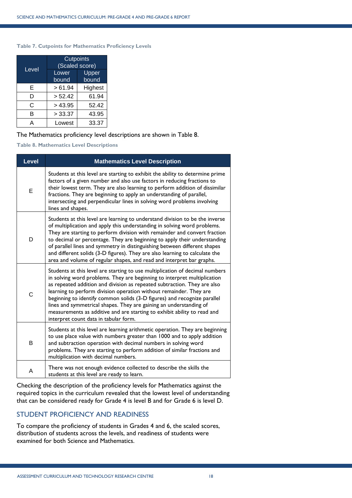### **Table 7. Cutpoints for Mathematics Proficiency Levels**

| Level | <b>Cutpoints</b><br>(Scaled score) |                |  |
|-------|------------------------------------|----------------|--|
|       | Lower<br>bound                     | Upper<br>bound |  |
| E     | >61.94                             | Highest        |  |
| D     | > 52.42                            | 61.94          |  |
| C     | > 43.95                            | 52.42          |  |
| в     | > 33.37                            | 43.95          |  |
| А     | Lowest                             | 33.37          |  |

## The Mathematics proficiency level descriptions are shown in [Table 8.](#page-17-1)

<span id="page-17-1"></span>**Table 8. Mathematics Level Descriptions**

| <b>Level</b> | <b>Mathematics Level Description</b>                                                                                                                                                                                                                                                                                                                                                                                                                                                                                                                                              |
|--------------|-----------------------------------------------------------------------------------------------------------------------------------------------------------------------------------------------------------------------------------------------------------------------------------------------------------------------------------------------------------------------------------------------------------------------------------------------------------------------------------------------------------------------------------------------------------------------------------|
| Е            | Students at this level are starting to exhibit the ability to determine prime<br>factors of a given number and also use factors in reducing fractions to<br>their lowest term. They are also learning to perform addition of dissimilar<br>fractions. They are beginning to apply an understanding of parallel,<br>intersecting and perpendicular lines in solving word problems involving<br>lines and shapes.                                                                                                                                                                   |
| D            | Students at this level are learning to understand division to be the inverse<br>of multiplication and apply this understanding in solving word problems.<br>They are starting to perform division with remainder and convert fraction<br>to decimal or percentage. They are beginning to apply their understanding<br>of parallel lines and symmetry in distinguishing between different shapes<br>and different solids (3-D figures). They are also learning to calculate the<br>area and volume of regular shapes, and read and interpret bar graphs.                           |
| C            | Students at this level are starting to use multiplication of decimal numbers<br>in solving word problems. They are beginning to interpret multiplication<br>as repeated addition and division as repeated subtraction. They are also<br>learning to perform division operation without remainder. They are<br>beginning to identify common solids (3-D figures) and recognize parallel<br>lines and symmetrical shapes. They are gaining an understanding of<br>measurements as additive and are starting to exhibit ability to read and<br>interpret count data in tabular form. |
| B            | Students at this level are learning arithmetic operation. They are beginning<br>to use place value with numbers greater than 1000 and to apply addition<br>and subtraction operation with decimal numbers in solving word<br>problems. They are starting to perform addition of similar fractions and<br>multiplication with decimal numbers.                                                                                                                                                                                                                                     |
| A            | There was not enough evidence collected to describe the skills the<br>students at this level are ready to learn.                                                                                                                                                                                                                                                                                                                                                                                                                                                                  |

Checking the description of the proficiency levels for Mathematics against the required topics in the curriculum revealed that the lowest level of understanding that can be considered ready for Grade 4 is level B and for Grade 6 is level D.

# <span id="page-17-0"></span>STUDENT PROFICIENCY AND READINESS

To compare the proficiency of students in Grades 4 and 6, the scaled scores, distribution of students across the levels, and readiness of students were examined for both Science and Mathematics.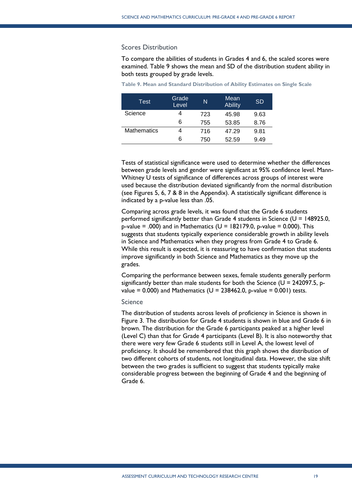## <span id="page-18-0"></span>Scores Distribution

To compare the abilities of students in Grades 4 and 6, the scaled scores were examined. [Table 9](#page-18-2) shows the mean and SD of the distribution student ability in both tests grouped by grade levels.

| Test               | Grade<br>Level | N   | Mean<br><b>Ability</b> | <b>SD</b> |
|--------------------|----------------|-----|------------------------|-----------|
| Science            |                | 723 | 45.98                  | 9.63      |
|                    | 6              | 755 | 53.85                  | 8.76      |
| <b>Mathematics</b> |                | 716 | 47.29                  | 9.81      |
|                    | 6              | 750 | 52.59                  | 9.49      |

<span id="page-18-2"></span>

|  |  |  | Table 9. Mean and Standard Distribution of Ability Estimates on Single Scale |  |  |  |  |  |  |  |
|--|--|--|------------------------------------------------------------------------------|--|--|--|--|--|--|--|
|--|--|--|------------------------------------------------------------------------------|--|--|--|--|--|--|--|

Tests of statistical significance were used to determine whether the differences between grade levels and gender were significant at 95% confidence level. Mann-Whitney U tests of significance of differences across groups of interest were used because the distribution deviated significantly from the normal distribution (see Figures 5, 6, 7 & 8 in the Appendix). A statistically significant difference is indicated by a p-value less than .05.

Comparing across grade levels, it was found that the Grade 6 students performed significantly better than Grade 4 students in Science (U = 148925.0, p-value = .000) and in Mathematics ( $U = 182179.0$ , p-value = 0.000). This suggests that students typically experience considerable growth in ability levels in Science and Mathematics when they progress from Grade 4 to Grade 6. While this result is expected, it is reassuring to have confirmation that students improve significantly in both Science and Mathematics as they move up the grades.

Comparing the performance between sexes, female students generally perform significantly better than male students for both the Science ( $U = 242097.5$ , pvalue = 0.000) and Mathematics ( $U = 238462.0$ , p-value = 0.001) tests.

## <span id="page-18-1"></span>Science

The distribution of students across levels of proficiency in Science is shown in [Figure 3.](#page-19-1) The distribution for Grade 4 students is shown in blue and Grade 6 in brown. The distribution for the Grade 6 participants peaked at a higher level (Level C) than that for Grade 4 participants (Level B). It is also noteworthy that there were very few Grade 6 students still in Level A, the lowest level of proficiency. It should be remembered that this graph shows the distribution of two different cohorts of students, not longitudinal data. However, the size shift between the two grades is sufficient to suggest that students typically make considerable progress between the beginning of Grade 4 and the beginning of Grade 6.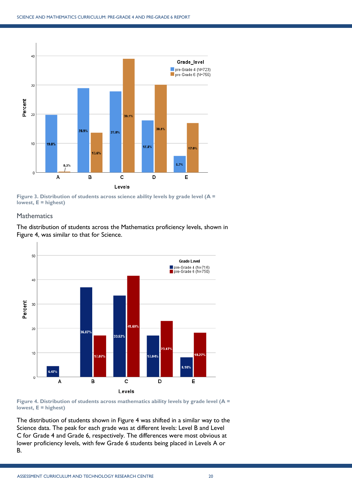

<span id="page-19-1"></span>**Figure 3. Distribution of students across science ability levels by grade level (A = lowest, E = highest)**

## <span id="page-19-0"></span>**Mathematics**

The distribution of students across the Mathematics proficiency levels, shown in [Figure 4,](#page-19-2) was similar to that for Science.



<span id="page-19-2"></span>

The distribution of students shown in [Figure 4](#page-19-2) was shifted in a similar way to the Science data. The peak for each grade was at different levels: Level B and Level C for Grade 4 and Grade 6, respectively. The differences were most obvious at lower proficiency levels, with few Grade 6 students being placed in Levels A or B.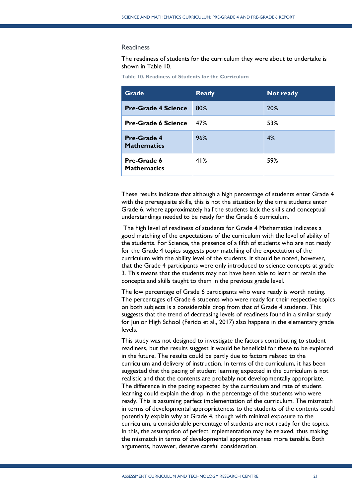#### <span id="page-20-0"></span>**Readiness**

The readiness of students for the curriculum they were about to undertake is shown in [Table 10.](#page-20-1)

<span id="page-20-1"></span>

| <b>Table 10. Readiness of Students for the Curriculum</b> |  |
|-----------------------------------------------------------|--|
|-----------------------------------------------------------|--|

| <b>Grade</b>                             | <b>Ready</b> | <b>Not ready</b> |
|------------------------------------------|--------------|------------------|
| <b>Pre-Grade 4 Science</b>               | 80%          | 20%              |
| <b>Pre-Grade 6 Science</b>               | 47%          | 53%              |
| <b>Pre-Grade 4</b><br><b>Mathematics</b> | 96%          | 4%               |
| Pre-Grade 6<br><b>Mathematics</b>        | 41%          | 59%              |

These results indicate that although a high percentage of students enter Grade 4 with the prerequisite skills, this is not the situation by the time students enter Grade 6, where approximately half the students lack the skills and conceptual understandings needed to be ready for the Grade 6 curriculum.

The high level of readiness of students for Grade 4 Mathematics indicates a good matching of the expectations of the curriculum with the level of ability of the students. For Science, the presence of a fifth of students who are not ready for the Grade 4 topics suggests poor matching of the expectation of the curriculum with the ability level of the students. It should be noted, however, that the Grade 4 participants were only introduced to science concepts at grade 3. This means that the students may not have been able to learn or retain the concepts and skills taught to them in the previous grade level.

The low percentage of Grade 6 participants who were ready is worth noting. The percentages of Grade 6 students who were ready for their respective topics on both subjects is a considerable drop from that of Grade 4 students. This suggests that the trend of decreasing levels of readiness found in a similar study for Junior High School (Ferido et al., 2017) also happens in the elementary grade levels.

This study was not designed to investigate the factors contributing to student readiness, but the results suggest it would be beneficial for these to be explored in the future. The results could be partly due to factors related to the curriculum and delivery of instruction. In terms of the curriculum, it has been suggested that the pacing of student learning expected in the curriculum is not realistic and that the contents are probably not developmentally appropriate. The difference in the pacing expected by the curriculum and rate of student learning could explain the drop in the percentage of the students who were ready. This is assuming perfect implementation of the curriculum. The mismatch in terms of developmental appropriateness to the students of the contents could potentially explain why at Grade 4, though with minimal exposure to the curriculum, a considerable percentage of students are not ready for the topics. In this, the assumption of perfect implementation may be relaxed, thus making the mismatch in terms of developmental appropriateness more tenable. Both arguments, however, deserve careful consideration.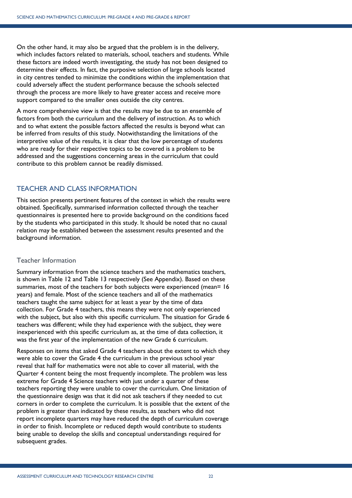On the other hand, it may also be argued that the problem is in the delivery, which includes factors related to materials, school, teachers and students. While these factors are indeed worth investigating, the study has not been designed to determine their effects. In fact, the purposive selection of large schools located in city centres tended to minimize the conditions within the implementation that could adversely affect the student performance because the schools selected through the process are more likely to have greater access and receive more support compared to the smaller ones outside the city centres.

A more comprehensive view is that the results may be due to an ensemble of factors from both the curriculum and the delivery of instruction. As to which and to what extent the possible factors affected the results is beyond what can be inferred from results of this study. Notwithstanding the limitations of the interpretive value of the results, it is clear that the low percentage of students who are ready for their respective topics to be covered is a problem to be addressed and the suggestions concerning areas in the curriculum that could contribute to this problem cannot be readily dismissed.

# <span id="page-21-0"></span>TEACHER AND CLASS INFORMATION

This section presents pertinent features of the context in which the results were obtained. Specifically, summarised information collected through the teacher questionnaires is presented here to provide background on the conditions faced by the students who participated in this study. It should be noted that no causal relation may be established between the assessment results presented and the background information.

# <span id="page-21-1"></span>Teacher Information

Summary information from the science teachers and the mathematics teachers, is shown in [Table 12](#page-31-0) and [Table 13](#page-34-0) respectively (See Appendix). Based on these summaries, most of the teachers for both subjects were experienced (mean= 16 years) and female. Most of the science teachers and all of the mathematics teachers taught the same subject for at least a year by the time of data collection. For Grade 4 teachers, this means they were not only experienced with the subject, but also with this specific curriculum. The situation for Grade 6 teachers was different; while they had experience with the subject, they were inexperienced with this specific curriculum as, at the time of data collection, it was the first year of the implementation of the new Grade 6 curriculum.

Responses on items that asked Grade 4 teachers about the extent to which they were able to cover the Grade 4 the curriculum in the previous school year reveal that half for mathematics were not able to cover all material, with the Quarter 4 content being the most frequently incomplete. The problem was less extreme for Grade 4 Science teachers with just under a quarter of these teachers reporting they were unable to cover the curriculum. One limitation of the questionnaire design was that it did not ask teachers if they needed to cut corners in order to complete the curriculum. It is possible that the extent of the problem is greater than indicated by these results, as teachers who did not report incomplete quarters may have reduced the depth of curriculum coverage in order to finish. Incomplete or reduced depth would contribute to students being unable to develop the skills and conceptual understandings required for subsequent grades.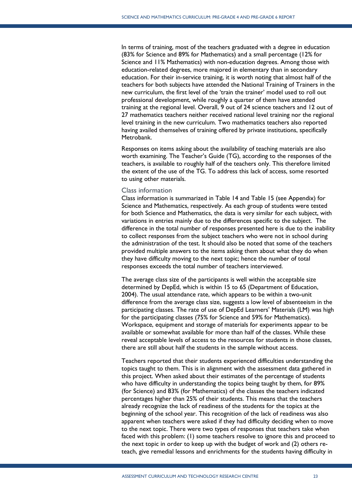In terms of training, most of the teachers graduated with a degree in education (83% for Science and 89% for Mathematics) and a small percentage (12% for Science and 11% Mathematics) with non-education degrees. Among those with education-related degrees, more majored in elementary than in secondary education. For their in-service training, it is worth noting that almost half of the teachers for both subjects have attended the National Training of Trainers in the new curriculum, the first level of the 'train the trainer' model used to roll out professional development, while roughly a quarter of them have attended training at the regional level. Overall, 9 out of 24 science teachers and 12 out of 27 mathematics teachers neither received national level training nor the regional level training in the new curriculum. Two mathematics teachers also reported having availed themselves of training offered by private institutions, specifically Metrobank.

Responses on items asking about the availability of teaching materials are also worth examining. The Teacher's Guide (TG), according to the responses of the teachers, is available to roughly half of the teachers only. This therefore limited the extent of the use of the TG. To address this lack of access, some resorted to using other materials.

## Class information

<span id="page-22-0"></span>Class information is summarized in [Table 14](#page-35-0) and [Table 15](#page-37-0) (see Appendix) for Science and Mathematics, respectively. As each group of students were tested for both Science and Mathematics, the data is very similar for each subject, with variations in entries mainly due to the differences specific to the subject. The difference in the total number of responses presented here is due to the inability to collect responses from the subject teachers who were not in school during the administration of the test. It should also be noted that some of the teachers provided multiple answers to the items asking them about what they do when they have difficulty moving to the next topic; hence the number of total responses exceeds the total number of teachers interviewed.

The average class size of the participants is well within the acceptable size determined by DepEd, which is within 15 to 65 (Department of Education, 2004). The usual attendance rate, which appears to be within a two-unit difference from the average class size, suggests a low level of absenteeism in the participating classes. The rate of use of DepEd Learners' Materials (LM) was high for the participating classes (75% for Science and 59% for Mathematics). Workspace, equipment and storage of materials for experiments appear to be available or somewhat available for more than half of the classes. While these reveal acceptable levels of access to the resources for students in those classes, there are still about half the students in the sample without access.

Teachers reported that their students experienced difficulties understanding the topics taught to them. This is in alignment with the assessment data gathered in this project. When asked about their estimates of the percentage of students who have difficulty in understanding the topics being taught by them, for 89% (for Science) and 83% (for Mathematics) of the classes the teachers indicated percentages higher than 25% of their students. This means that the teachers already recognize the lack of readiness of the students for the topics at the beginning of the school year. This recognition of the lack of readiness was also apparent when teachers were asked if they had difficulty deciding when to move to the next topic. There were two types of responses that teachers take when faced with this problem: (1) some teachers resolve to ignore this and proceed to the next topic in order to keep up with the budget of work and (2) others reteach, give remedial lessons and enrichments for the students having difficulty in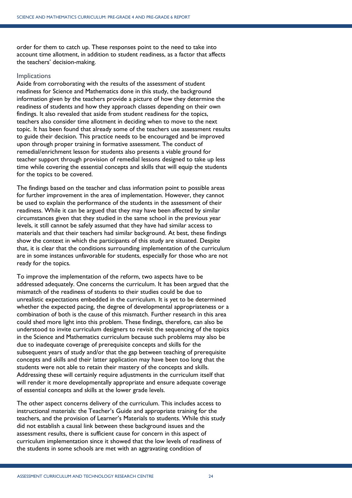order for them to catch up. These responses point to the need to take into account time allotment, in addition to student readiness, as a factor that affects the teachers' decision-making.

## **Implications**

Aside from corroborating with the results of the assessment of student readiness for Science and Mathematics done in this study, the background information given by the teachers provide a picture of how they determine the readiness of students and how they approach classes depending on their own findings. It also revealed that aside from student readiness for the topics, teachers also consider time allotment in deciding when to move to the next topic. It has been found that already some of the teachers use assessment results to guide their decision. This practice needs to be encouraged and be improved upon through proper training in formative assessment. The conduct of remedial/enrichment lesson for students also presents a viable ground for teacher support through provision of remedial lessons designed to take up less time while covering the essential concepts and skills that will equip the students for the topics to be covered.

The findings based on the teacher and class information point to possible areas for further improvement in the area of implementation. However, they cannot be used to explain the performance of the students in the assessment of their readiness. While it can be argued that they may have been affected by similar circumstances given that they studied in the same school in the previous year levels, it still cannot be safely assumed that they have had similar access to materials and that their teachers had similar background. At best, these findings show the context in which the participants of this study are situated. Despite that, it is clear that the conditions surrounding implementation of the curriculum are in some instances unfavorable for students, especially for those who are not ready for the topics.

To improve the implementation of the reform, two aspects have to be addressed adequately. One concerns the curriculum. It has been argued that the mismatch of the readiness of students to their studies could be due to unrealistic expectations embedded in the curriculum. It is yet to be determined whether the expected pacing, the degree of developmental appropriateness or a combination of both is the cause of this mismatch. Further research in this area could shed more light into this problem. These findings, therefore, can also be understood to invite curriculum designers to revisit the sequencing of the topics in the Science and Mathematics curriculum because such problems may also be due to inadequate coverage of prerequisite concepts and skills for the subsequent years of study and/or that the gap between teaching of prerequisite concepts and skills and their latter application may have been too long that the students were not able to retain their mastery of the concepts and skills. Addressing these will certainly require adjustments in the curriculum itself that will render it more developmentally appropriate and ensure adequate coverage of essential concepts and skills at the lower grade levels.

The other aspect concerns delivery of the curriculum. This includes access to instructional materials: the Teacher's Guide and appropriate training for the teachers, and the provision of Learner's Materials to students. While this study did not establish a causal link between these background issues and the assessment results, there is sufficient cause for concern in this aspect of curriculum implementation since it showed that the low levels of readiness of the students in some schools are met with an aggravating condition of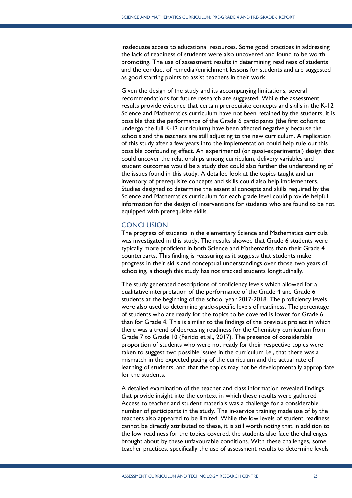inadequate access to educational resources. Some good practices in addressing the lack of readiness of students were also uncovered and found to be worth promoting. The use of assessment results in determining readiness of students and the conduct of remedial/enrichment lessons for students and are suggested as good starting points to assist teachers in their work.

Given the design of the study and its accompanying limitations, several recommendations for future research are suggested. While the assessment results provide evidence that certain prerequisite concepts and skills in the K-12 Science and Mathematics curriculum have not been retained by the students, it is possible that the performance of the Grade 6 participants (the first cohort to undergo the full K-12 curriculum) have been affected negatively because the schools and the teachers are still adjusting to the new curriculum. A replication of this study after a few years into the implementation could help rule out this possible confounding effect. An experimental (or quasi-experimental) design that could uncover the relationships among curriculum, delivery variables and student outcomes would be a study that could also further the understanding of the issues found in this study. A detailed look at the topics taught and an inventory of prerequisite concepts and skills could also help implementers. Studies designed to determine the essential concepts and skills required by the Science and Mathematics curriculum for each grade level could provide helpful information for the design of interventions for students who are found to be not equipped with prerequisite skills.

## <span id="page-24-0"></span>**CONCLUSION**

The progress of students in the elementary Science and Mathematics curricula was investigated in this study. The results showed that Grade 6 students were typically more proficient in both Science and Mathematics than their Grade 4 counterparts. This finding is reassuring as it suggests that students make progress in their skills and conceptual understandings over those two years of schooling, although this study has not tracked students longitudinally.

The study generated descriptions of proficiency levels which allowed for a qualitative interpretation of the performance of the Grade 4 and Grade 6 students at the beginning of the school year 2017-2018. The proficiency levels were also used to determine grade-specific levels of readiness. The percentage of students who are ready for the topics to be covered is lower for Grade 6 than for Grade 4. This is similar to the findings of the previous project in which there was a trend of decreasing readiness for the Chemistry curriculum from Grade 7 to Grade 10 (Ferido et al., 2017). The presence of considerable proportion of students who were not ready for their respective topics were taken to suggest two possible issues in the curriculum i.e., that there was a mismatch in the expected pacing of the curriculum and the actual rate of learning of students, and that the topics may not be developmentally appropriate for the students.

A detailed examination of the teacher and class information revealed findings that provide insight into the context in which these results were gathered. Access to teacher and student materials was a challenge for a considerable number of participants in the study. The in-service training made use of by the teachers also appeared to be limited. While the low levels of student readiness cannot be directly attributed to these, it is still worth noting that in addition to the low readiness for the topics covered, the students also face the challenges brought about by these unfavourable conditions. With these challenges, some teacher practices, specifically the use of assessment results to determine levels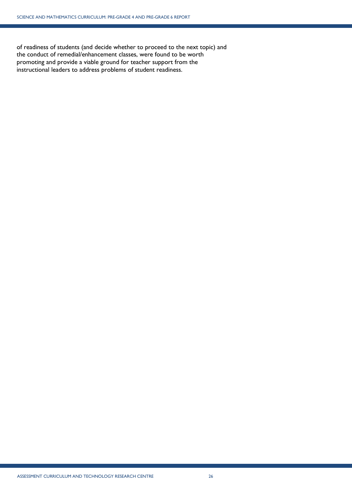of readiness of students (and decide whether to proceed to the next topic) and the conduct of remedial/enhancement classes, were found to be worth promoting and provide a viable ground for teacher support from the instructional leaders to address problems of student readiness.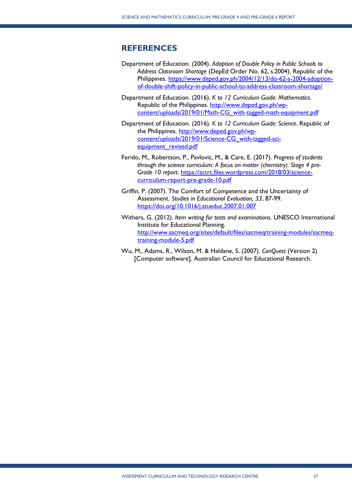# <span id="page-26-0"></span>**REFERENCES**

- Department of Education. (2004). *Adoption of Double Policy in Public Schools to Address Classroom Shortage* (DepEd Order No. 62, s.2004). Republic of the Philippines. [https://www.deped.gov.ph/2004/12/13/do-62-s-2004-adoption](https://www.deped.gov.ph/2004/12/13/do-62-s-2004-adoption-of-double-shift-policy-in-public-school-to-address-classroom-shortage/)[of-double-shift-policy-in-public-school-to-address-classroom-shortage/](https://www.deped.gov.ph/2004/12/13/do-62-s-2004-adoption-of-double-shift-policy-in-public-school-to-address-classroom-shortage/)
- Department of Education. (2016). *K to 12 Curriculum Guide: Mathematics*. Republic of the Philippines. [http://www.deped.gov.ph/wp](http://www.deped.gov.ph/wp-content/uploads/2019/01/Math-CG_with-tagged-math-equipment.pdf)[content/uploads/2019/01/Math-CG\\_with-tagged-math-equipment.pdf](http://www.deped.gov.ph/wp-content/uploads/2019/01/Math-CG_with-tagged-math-equipment.pdf)
- Department of Education. (2016). *K to 12 Curriculum Guide: Science*. Republic of the Philippines. [http://www.deped.gov.ph/wp](http://www.deped.gov.ph/wp-content/uploads/2019/01/Science-CG_with-tagged-sci-equipment_revised.pdf)[content/uploads/2019/01/Science-CG\\_with-tagged-sci](http://www.deped.gov.ph/wp-content/uploads/2019/01/Science-CG_with-tagged-sci-equipment_revised.pdf)[equipment\\_revised.pdf](http://www.deped.gov.ph/wp-content/uploads/2019/01/Science-CG_with-tagged-sci-equipment_revised.pdf)
- Ferido, M., Robertson, P., Pavlovic, M., & Care, E. (2017). *Progress of students through the science curriculum: A focus on matter (chemistry). Stage 4 pre-Grade 10 report*. [https://actrc.files.wordpress.com/2018/03/science](https://actrc.files.wordpress.com/2018/03/science-curriculum-report-pre-grade-10.pdf)[curriculum-report-pre-grade-10.pdf](https://actrc.files.wordpress.com/2018/03/science-curriculum-report-pre-grade-10.pdf)
- Griffin, P. (2007). The Comfort of Competence and the Uncertainty of Assessment. *Studies in Educational Evaluation, 33*, 87-99. <https://doi.org/10.1016/j.stueduc.2007.01.007>
- Withers, G. (2012). *Item writing for tests and examinations*. UNESCO International Institute for Educational Planning. [http://www.sacmeq.org/sites/default/files/sacmeq/training-modules/sacmeq](http://www.sacmeq.org/sites/default/files/sacmeq/training-modules/sacmeq-training-module-5.pdf)[training-module-5.pdf](http://www.sacmeq.org/sites/default/files/sacmeq/training-modules/sacmeq-training-module-5.pdf)
- Wu, M., Adams, R., Wilson, M. & Haldane, S. (2007). *ConQuest* (Version 2) [Computer software]. Australian Council for Educational Research.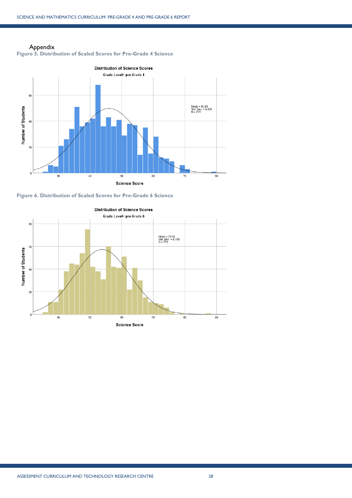Appendix



<span id="page-27-1"></span><span id="page-27-0"></span>

<span id="page-27-2"></span>

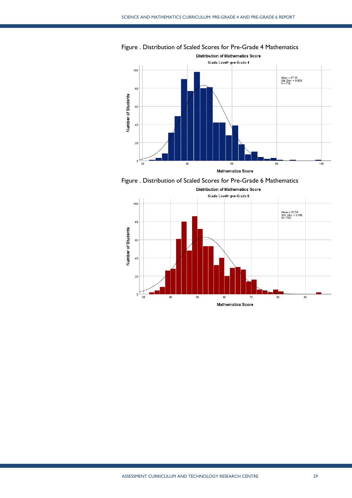

Figure . Distribution of Scaled Scores for Pre-Grade 4 Mathematics

Figure . Distribution of Scaled Scores for Pre-Grade 6 Mathematics

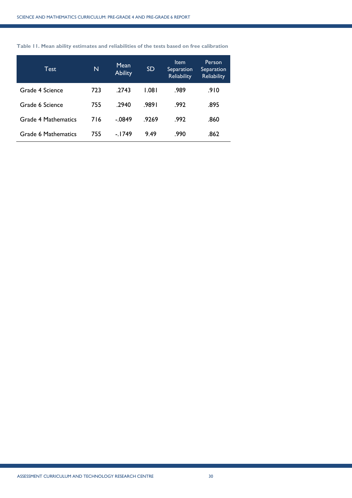<span id="page-29-0"></span>

| Table 11. Mean ability estimates and reliabilities of the tests based on free calibration |  |  |  |  |  |  |  |  |  |  |
|-------------------------------------------------------------------------------------------|--|--|--|--|--|--|--|--|--|--|
|-------------------------------------------------------------------------------------------|--|--|--|--|--|--|--|--|--|--|

| Test                | N   | Mean<br><b>Ability</b> | <b>SD</b> | <b>Item</b><br>Separation<br><b>Reliability</b> | Person<br>Separation<br><b>Reliability</b> |
|---------------------|-----|------------------------|-----------|-------------------------------------------------|--------------------------------------------|
| Grade 4 Science     | 723 | .2743                  | 1.081     | .989                                            | .910                                       |
| Grade 6 Science     | 755 | .2940                  | .9891     | .992                                            | .895                                       |
| Grade 4 Mathematics | 716 | $-.0849$               | .9269     | .992                                            | .860                                       |
| Grade 6 Mathematics | 755 | $-1749$                | 9.49      | .990                                            | .862                                       |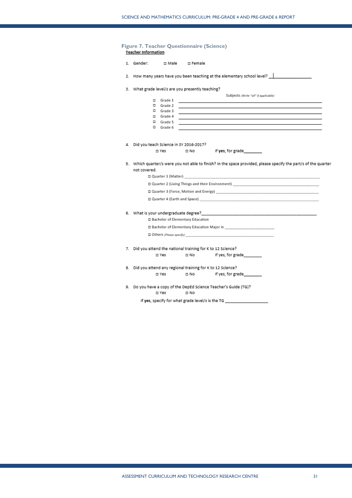<span id="page-30-0"></span>

| 1. Gender:<br>ロ Male ロ Female                                                                                                                                                                                                                                       |  |  |  |  |  |
|---------------------------------------------------------------------------------------------------------------------------------------------------------------------------------------------------------------------------------------------------------------------|--|--|--|--|--|
|                                                                                                                                                                                                                                                                     |  |  |  |  |  |
| 3. What grade level/s are you presently teaching?                                                                                                                                                                                                                   |  |  |  |  |  |
| Subjects /Write "all" if applicable)<br>$\square$ Grade 1                                                                                                                                                                                                           |  |  |  |  |  |
| $\square$ Grade 2                                                                                                                                                                                                                                                   |  |  |  |  |  |
| $\square$ Grade 3                                                                                                                                                                                                                                                   |  |  |  |  |  |
| $\square$ Grade 4                                                                                                                                                                                                                                                   |  |  |  |  |  |
| $\square$ Grade 5                                                                                                                                                                                                                                                   |  |  |  |  |  |
| $\square$ Grade 6                                                                                                                                                                                                                                                   |  |  |  |  |  |
|                                                                                                                                                                                                                                                                     |  |  |  |  |  |
| 4. Did you teach Science in SY 2016-2017?                                                                                                                                                                                                                           |  |  |  |  |  |
| If yes, for grade<br>□ Yes<br>— No                                                                                                                                                                                                                                  |  |  |  |  |  |
| 5. Which quarter/s were you not able to finish? In the space provided, please specify the part/s of the quarter                                                                                                                                                     |  |  |  |  |  |
| not covered.                                                                                                                                                                                                                                                        |  |  |  |  |  |
| $\Box$ Quarter 1 (Matter)                                                                                                                                                                                                                                           |  |  |  |  |  |
| □ Quarter 2 (Living Things and their Environment)                                                                                                                                                                                                                   |  |  |  |  |  |
|                                                                                                                                                                                                                                                                     |  |  |  |  |  |
| $\Box$ Quarter 3 (Force, Motion and Energy)                                                                                                                                                                                                                         |  |  |  |  |  |
| $\Box$ Quarter 4 (Earth and Space)                                                                                                                                                                                                                                  |  |  |  |  |  |
|                                                                                                                                                                                                                                                                     |  |  |  |  |  |
| 6. What is your undergraduate degree? The control of the control of the control of the control of the control of the control of the control of the control of the control of the control of the control of the control of the<br>□ Bachelor of Elementary Education |  |  |  |  |  |
| □ Bachelor of Elementary Education Major in                                                                                                                                                                                                                         |  |  |  |  |  |
| $\Box$ Others (Please specify)                                                                                                                                                                                                                                      |  |  |  |  |  |
| 7. Did you attend the national training for K to 12 Science?                                                                                                                                                                                                        |  |  |  |  |  |
| If yes, for grade<br>□ Yes<br>$\square$ No                                                                                                                                                                                                                          |  |  |  |  |  |
|                                                                                                                                                                                                                                                                     |  |  |  |  |  |
| 8. Did you attend any regional training for K to 12 Science?                                                                                                                                                                                                        |  |  |  |  |  |
| If yes, for grade<br>□ Yes<br>$\square$ No                                                                                                                                                                                                                          |  |  |  |  |  |
| 9. Do you have a copy of the DepEd Science Teacher's Guide (TG)?                                                                                                                                                                                                    |  |  |  |  |  |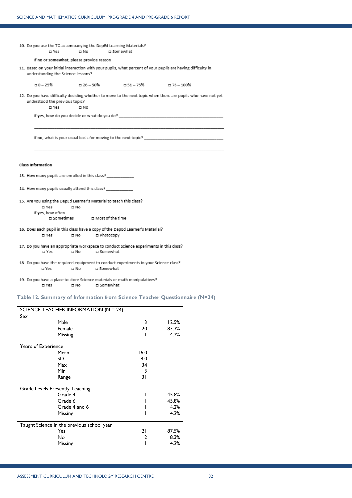| 10. Do you use the TG accompanying the DepEd Learning Materials?<br>□ Yes                       | $\square$ No                                                  | <b>D</b> Somewhat                     |                                                                                                              |  |  |  |  |
|-------------------------------------------------------------------------------------------------|---------------------------------------------------------------|---------------------------------------|--------------------------------------------------------------------------------------------------------------|--|--|--|--|
|                                                                                                 |                                                               |                                       |                                                                                                              |  |  |  |  |
| understanding the Science lessons?                                                              |                                                               |                                       | 11. Based on your initial interaction with your pupils, what percent of your pupils are having difficulty in |  |  |  |  |
| $-25%$                                                                                          |                                                               | □ 26-50%      □ 51-75%      □ 76-100% |                                                                                                              |  |  |  |  |
| understood the previous topic?<br><b>D</b> Yes                                                  | $\square$ No                                                  |                                       | 12. Do you have difficulty deciding whether to move to the next topic when there are pupils who have not yet |  |  |  |  |
|                                                                                                 |                                                               |                                       | If yes, how do you decide or what do you do?                                                                 |  |  |  |  |
|                                                                                                 | If no, what is your usual basis for moving to the next topic? |                                       |                                                                                                              |  |  |  |  |
|                                                                                                 |                                                               |                                       |                                                                                                              |  |  |  |  |
| <b>Class Information</b>                                                                        |                                                               |                                       |                                                                                                              |  |  |  |  |
| 13. How many pupils are enrolled in this class?                                                 |                                                               |                                       |                                                                                                              |  |  |  |  |
| 14. How many pupils usually attend this class?                                                  |                                                               |                                       |                                                                                                              |  |  |  |  |
| 15. Are you using the DepEd Learner's Material to teach this class?                             |                                                               |                                       |                                                                                                              |  |  |  |  |
| □ Yes                                                                                           | — ⊡ No                                                        |                                       |                                                                                                              |  |  |  |  |
| If yes, how often                                                                               |                                                               |                                       |                                                                                                              |  |  |  |  |
|                                                                                                 | □ Sometimes □ Most of the time                                |                                       |                                                                                                              |  |  |  |  |
| 16. Does each pupil in this class have a copy of the DepEd Learner's Material?                  |                                                               |                                       |                                                                                                              |  |  |  |  |
| □ Yes                                                                                           | Photocopy ⊏<br>⊟No                                            |                                       |                                                                                                              |  |  |  |  |
| 17. Do you have an appropriate workspace to conduct Science experiments in this class?<br>□ Yes | ⊟ No<br>Somewhat ⊐                                            |                                       |                                                                                                              |  |  |  |  |
|                                                                                                 |                                                               |                                       |                                                                                                              |  |  |  |  |
| 18. Do you have the required equipment to conduct experiments in your Science class?            |                                                               |                                       |                                                                                                              |  |  |  |  |
| □ Yes                                                                                           | ם Somewhat<br>□ No                                            |                                       |                                                                                                              |  |  |  |  |
| 19. Do you have a place to store Science materials or math manipulatives?<br>□ Yes              | ⊡No<br>Somewhat ב                                             |                                       |                                                                                                              |  |  |  |  |

# <span id="page-31-0"></span>**Table 12. Summary of Information from Science Teacher Questionnaire (N=24)**

| SCIENCE TEACHER INFORMATION ( $N = 24$ )   |      |       |
|--------------------------------------------|------|-------|
| Sex                                        |      |       |
| Male                                       | 3    | 12.5% |
| Female                                     | 20   | 83.3% |
| Missing                                    |      | 4.2%  |
| Years of Experience                        |      |       |
| Mean                                       | 16.0 |       |
| SD                                         | 8.0  |       |
| Max                                        | 34   |       |
| Min                                        | 3    |       |
| Range                                      | 31   |       |
| Grade Levels Presently Teaching            |      |       |
| Grade 4                                    | П    | 45.8% |
| Grade 6                                    | п    | 45.8% |
| Grade 4 and 6                              |      | 4.2%  |
| Missing                                    |      | 4.2%  |
| Taught Science in the previous school year |      |       |
| Yes                                        | 21   | 87.5% |
| No                                         | 2    | 8.3%  |
| Missing                                    |      | 4.2%  |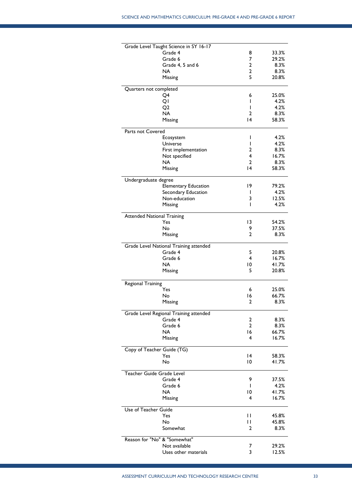|                                   | Grade Level Taught Science in SY 16-17 |                |                |
|-----------------------------------|----------------------------------------|----------------|----------------|
|                                   | Grade 4                                | 8              | 33.3%          |
|                                   | Grade 6                                | 7              | 29.2%          |
|                                   | Grade 4, 5 and 6                       | 2              | 8.3%           |
|                                   | NA                                     | 2              | 8.3%           |
|                                   | Missing                                | 5              | 20.8%          |
| Quarters not completed            |                                        |                |                |
|                                   | Q4                                     | 6              | 25.0%          |
|                                   | QI                                     | I              | 4.2%           |
|                                   | Q2                                     | ı              | 4.2%           |
|                                   | <b>NA</b>                              | 2              | 8.3%           |
|                                   | Missing                                | 14             | 58.3%          |
| Parts not Covered                 |                                        |                |                |
|                                   | Ecosystem                              | $\mathsf{I}$   | 4.2%           |
|                                   | Universe                               | I              | 4.2%           |
|                                   | First implementation                   | 2              | 8.3%           |
|                                   | Not specified                          | 4              | 16.7%          |
|                                   | <b>NA</b>                              | 2              | 8.3%           |
|                                   | Missing                                | 4              | 58.3%          |
| Undergraduate degree              |                                        |                |                |
|                                   | <b>Elementary Education</b>            | 19             | 79.2%          |
|                                   | Secondary Education                    | I              | 4.2%           |
|                                   | Non-education                          | 3              | 12.5%          |
|                                   | Missing                                | I              | 4.2%           |
| <b>Attended National Training</b> |                                        |                |                |
|                                   | Yes                                    | 13             | 54.2%          |
|                                   | No                                     | 9              | 37.5%          |
|                                   | Missing                                | 2              | 8.3%           |
|                                   | Grade Level National Training attended |                |                |
|                                   | Grade 4                                | 5              | 20.8%          |
|                                   | Grade 6                                | 4              | 16.7%          |
|                                   | NA.                                    | 10             | 41.7%          |
|                                   | Missing                                | 5              | 20.8%          |
|                                   |                                        |                |                |
| Regional Training                 | Yes                                    |                |                |
|                                   |                                        | 6              | 25.0%<br>66.7% |
|                                   | No                                     | 16<br>2        | 8.3%           |
|                                   | Missing                                |                |                |
|                                   | Grade Level Regional Training attended |                |                |
|                                   | Grade 4                                | 2              | 8.3%           |
|                                   | Grade 6                                | $\overline{2}$ | 8.3%           |
|                                   | <b>NA</b>                              | 16             | 66.7%          |
|                                   | Missing                                | 4              | 16.7%          |
|                                   | Copy of Teacher Guide (TG)             |                |                |
|                                   | Yes                                    | 14             | 58.3%          |
|                                   | No                                     | $\overline{0}$ | 41.7%          |
| Teacher Guide Grade Level         |                                        |                |                |
|                                   | Grade 4                                | 9              | 37.5%          |
|                                   | Grade 6                                | $\mathsf{I}$   | 4.2%           |
|                                   | NA.                                    | 10             | 41.7%          |
|                                   | Missing                                | 4              | 16.7%          |
| Use of Teacher Guide              |                                        |                |                |
|                                   | Yes                                    | П              | 45.8%          |
|                                   | No                                     | П              | 45.8%          |
|                                   | Somewhat                               | 2              | 8.3%           |
|                                   | Reason for "No" & "Somewhat"           |                |                |
|                                   | Not available                          | 7              | 29.2%          |
|                                   | Uses other materials                   | 3              | 12.5%          |
|                                   |                                        |                |                |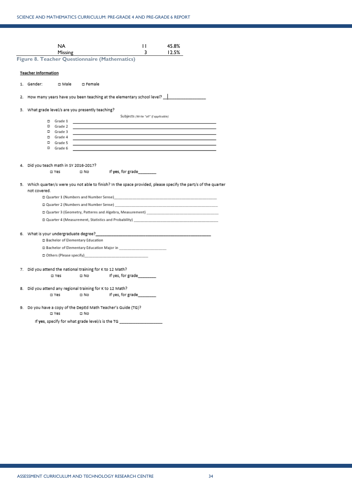<span id="page-33-0"></span>

|                                                                          | <b>NA</b><br>Missing |                                    |                                                               | П<br>3                               | 45.8%<br>12.5% |                                                                                                                 |
|--------------------------------------------------------------------------|----------------------|------------------------------------|---------------------------------------------------------------|--------------------------------------|----------------|-----------------------------------------------------------------------------------------------------------------|
| <b>Figure 8. Teacher Questionnaire (Mathematics)</b>                     |                      |                                    |                                                               |                                      |                |                                                                                                                 |
| <b>Teacher Information</b>                                               |                      |                                    |                                                               |                                      |                |                                                                                                                 |
|                                                                          |                      |                                    |                                                               |                                      |                |                                                                                                                 |
| 1. Gender:                                                               |                      | <b>O Male D</b> Female             |                                                               |                                      |                |                                                                                                                 |
| 2. How many years have you been teaching at the elementary school level? |                      |                                    |                                                               |                                      |                |                                                                                                                 |
| 3. What grade level/s are you presently teaching?                        |                      |                                    |                                                               |                                      |                |                                                                                                                 |
|                                                                          |                      |                                    |                                                               | Subjects /Write "all" if applicable) |                |                                                                                                                 |
| $\square$ Grade 1                                                        |                      |                                    |                                                               |                                      |                |                                                                                                                 |
| $\square$ Grade 2                                                        |                      |                                    |                                                               |                                      |                |                                                                                                                 |
| $\square$ Grade 3                                                        |                      |                                    |                                                               |                                      |                |                                                                                                                 |
| $\square$ Grade 4                                                        |                      |                                    |                                                               |                                      |                |                                                                                                                 |
| $\square$ Grade 5                                                        |                      |                                    |                                                               |                                      |                |                                                                                                                 |
| $\square$ Grade 6                                                        |                      |                                    |                                                               |                                      |                |                                                                                                                 |
|                                                                          |                      |                                    |                                                               |                                      |                |                                                                                                                 |
| 4. Did you teach math in SY 2016-2017?                                   |                      |                                    |                                                               |                                      |                |                                                                                                                 |
|                                                                          | □ Yes                | $\square$ No                       | If yes, for grade                                             |                                      |                |                                                                                                                 |
|                                                                          |                      |                                    |                                                               |                                      |                |                                                                                                                 |
|                                                                          |                      |                                    |                                                               |                                      |                | 5. Which quarter/s were you not able to finish? In the space provided, please specify the part/s of the quarter |
| not covered.                                                             |                      |                                    |                                                               |                                      |                |                                                                                                                 |
|                                                                          |                      |                                    | □ Quarter 1 (Numbers and Number Sense)                        |                                      |                |                                                                                                                 |
|                                                                          |                      |                                    |                                                               |                                      |                |                                                                                                                 |
|                                                                          |                      |                                    |                                                               |                                      |                |                                                                                                                 |
|                                                                          |                      |                                    | $\square$ Quarter 4 (Measurement, Statistics and Probability) |                                      |                |                                                                                                                 |
|                                                                          |                      |                                    |                                                               |                                      |                |                                                                                                                 |
|                                                                          |                      |                                    |                                                               |                                      |                |                                                                                                                 |
|                                                                          |                      | □ Bachelor of Elementary Education |                                                               |                                      |                |                                                                                                                 |
|                                                                          |                      |                                    | □ Bachelor of Elementary Education Major in                   |                                      |                |                                                                                                                 |
|                                                                          |                      |                                    |                                                               |                                      |                |                                                                                                                 |
|                                                                          |                      |                                    |                                                               |                                      |                |                                                                                                                 |
| 7. Did you attend the national training for K to 12 Math?                |                      |                                    |                                                               |                                      |                |                                                                                                                 |
| □ Yes                                                                    |                      | □ No                               | If yes, for grade                                             |                                      |                |                                                                                                                 |
| 8. Did you attend any regional training for K to 12 Math?                |                      |                                    |                                                               |                                      |                |                                                                                                                 |
| □ Yes                                                                    |                      | $\Box$ No                          | If yes, for grade                                             |                                      |                |                                                                                                                 |
|                                                                          |                      |                                    |                                                               |                                      |                |                                                                                                                 |
| 9. Do you have a copy of the DepEd Math Teacher's Guide (TG)?<br>□ Yes   |                      | □ No                               |                                                               |                                      |                |                                                                                                                 |
|                                                                          |                      |                                    | If yes, specify for what grade level/s is the TG _________    |                                      |                |                                                                                                                 |
|                                                                          |                      |                                    |                                                               |                                      |                |                                                                                                                 |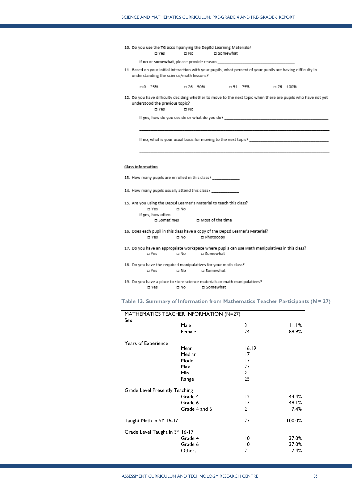|       |      | 10. Do you use the TG accompanying the DepEd Learning Materials? |
|-------|------|------------------------------------------------------------------|
| □ Yes | □ No | □ Somewhat                                                       |

If no or somewhat, please provide reason \_

11. Based on your initial interaction with your pupils, what percent of your pupils are having difficulty in understanding the science/math lessons?

| □ 0 − 25% | $-26 - 50%$ | $-51 - 75%$ | □ 76 – 100% |
|-----------|-------------|-------------|-------------|

12. Do you have difficulty deciding whether to move to the next topic when there are pupils who have not yet understood the previous topic?

> $\square$  Yes  $\square$  No

If yes, how do you decide or what do you do? \_\_\_\_\_\_

If no, what is your usual basis for moving to the next topic?

#### **Class Information**

- 13. How many pupils are enrolled in this class? \_\_\_
- 14. How many pupils usually attend this class? \_\_\_
- 15. Are you using the DepEd Learner's Material to teach this class? □ Yes  $\square$  No If yes, how often □ Most of the time □ Sometimes
- 16. Does each pupil in this class have a copy of the DepEd Learner's Material? □ Yes □ No □ Photocopy
- 17. Do you have an appropriate workspace where pupils can use Math manipulatives in this class?  $\square$  Yes  $\square$  No □ Somewhat
- 18. Do you have the required manipulatives for your math class? □ Yes  $\square$  No □ Somewhat
- 19. Do you have a place to store science materials or math manipulatives?  $\square$  Yes  $\square$  No □ Somewhat

<span id="page-34-0"></span>**Table 13. Summary of Information from Mathematics Teacher Participants (N = 27)**

| MATHEMATICS TEACHER INFORMATION (N=27) |               |              |        |
|----------------------------------------|---------------|--------------|--------|
| Sex                                    |               |              |        |
|                                        | Male          | 3            | 11.1%  |
|                                        | Female        | 24           | 88.9%  |
| Years of Experience                    |               |              |        |
|                                        | Mean          | 16.19        |        |
|                                        | Median        | 17           |        |
|                                        | Mode          | 17           |        |
|                                        | Max           | 27           |        |
|                                        | Min           | $\mathbf{2}$ |        |
|                                        | Range         | 25           |        |
| Grade Level Presently Teaching         |               |              |        |
|                                        | Grade 4       | 12           | 44.4%  |
|                                        | Grade 6       | 13           | 48.1%  |
|                                        | Grade 4 and 6 | 2            | 7.4%   |
| Taught Math in SY 16-17                |               | 27           | 100.0% |
| Grade Level Taught in SY 16-17         |               |              |        |
|                                        | Grade 4       | 10           | 37.0%  |
|                                        | Grade 6       | 10           | 37.0%  |
|                                        | Others        | 2            | 7.4%   |
|                                        |               |              |        |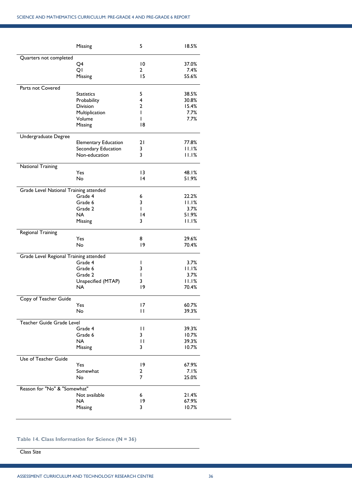|                                        | Missing                     | 5            | 18.5%          |
|----------------------------------------|-----------------------------|--------------|----------------|
| Quarters not completed                 |                             |              |                |
|                                        | Q4                          | 10           | 37.0%          |
|                                        | QI                          | 2            | 7.4%           |
|                                        | Missing                     | 15           | 55.6%          |
| Parts not Covered                      |                             |              |                |
|                                        | <b>Statistics</b>           | 5            | 38.5%          |
|                                        | Probability                 | 4            | 30.8%          |
|                                        | Division                    | 2            | 15.4%          |
|                                        | Multiplication              | L            | 7.7%           |
|                                        | Volume                      | ı            | 7.7%           |
|                                        | Missing                     | 18           |                |
| Undergraduate Degree                   |                             |              |                |
|                                        | <b>Elementary Education</b> | 21           | 77.8%          |
|                                        | Secondary Education         | 3            | 11.1%          |
|                                        | Non-education               | 3            | 11.1%          |
| National Training                      |                             |              |                |
|                                        | Yes                         | 13           | 48.1%          |
|                                        | <b>No</b>                   | 4            | 51.9%          |
| Grade Level National Training attended |                             |              |                |
|                                        | Grade 4                     | 6            | 22.2%          |
|                                        | Grade 6                     | 3            | 11.1%          |
|                                        | Grade 2                     | L            | 3.7%           |
|                                        | NA                          | 14           | 51.9%          |
|                                        | Missing                     | 3            | 11.1%          |
| Regional Training                      |                             |              |                |
|                                        | Yes                         | 8            | 29.6%          |
|                                        | No                          | 19           | 70.4%          |
| Grade Level Regional Training attended |                             |              |                |
|                                        | Grade 4                     | ı            | 3.7%           |
|                                        | Grade 6                     | 3            | 11.1%          |
|                                        | Grade 2                     | ı            | 3.7%           |
|                                        | Unspecified (MTAP)          | 3            | 11.1%          |
|                                        | <b>NA</b>                   | 19           | 70.4%          |
|                                        |                             |              |                |
| Copy of Teacher Guide                  |                             |              |                |
|                                        | Yes                         | 17<br>п      | 60.7%          |
|                                        | No                          |              | 39.3%          |
| Teacher Guide Grade Level              |                             |              |                |
|                                        | Grade 4                     | $\mathbf{H}$ | 39.3%          |
|                                        | Grade 6<br><b>NA</b>        | 3            | 10.7%          |
|                                        |                             |              |                |
|                                        |                             | П            | 39.3%          |
|                                        | Missing                     | 3            | 10.7%          |
| Use of Teacher Guide                   |                             |              |                |
|                                        | Yes                         | 19           | 67.9%          |
|                                        | Somewhat                    | 2            | 7.1%           |
|                                        | No                          | 7            | 25.0%          |
| Reason for "No" & "Somewhat"           |                             |              |                |
|                                        | Not available               | 6            | 21.4%          |
|                                        | <b>NA</b><br>Missing        | 19<br>3      | 67.9%<br>10.7% |

## <span id="page-35-0"></span>**Table 14. Class Information for Science (N = 36)**

**Class Size**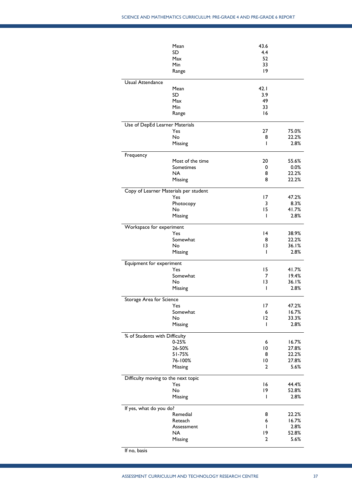|                                | Mean                                  | 43.6 |       |
|--------------------------------|---------------------------------------|------|-------|
|                                | SD                                    | 4.4  |       |
|                                | Max                                   | 52   |       |
|                                | Min                                   | 33   |       |
|                                | Range                                 | 9    |       |
|                                |                                       |      |       |
| Usual Attendance               |                                       |      |       |
|                                | Mean                                  | 42.1 |       |
|                                | SD                                    | 3.9  |       |
|                                | Max                                   | 49   |       |
|                                | Min                                   | 33   |       |
|                                | Range                                 | 16   |       |
|                                |                                       |      |       |
| Use of DepEd Learner Materials |                                       | 27   |       |
|                                | Yes                                   |      | 75.0% |
|                                | No                                    | 8    | 22.2% |
|                                | Missing                               | ı    | 2.8%  |
| Frequency                      |                                       |      |       |
|                                | Most of the time                      | 20   | 55.6% |
|                                | Sometimes                             | 0    | 0.0%  |
|                                | NA                                    | 8    | 22.2% |
|                                | Missing                               | 8    | 22.2% |
|                                |                                       |      |       |
|                                | Copy of Learner Materials per student |      |       |
|                                | Yes                                   | 17   | 47.2% |
|                                | Photocopy                             | 3    | 8.3%  |
|                                | No                                    | 15   | 41.7% |
|                                | Missing                               | ı    | 2.8%  |
|                                |                                       |      |       |
| Workspace for experiment       |                                       |      |       |
|                                | Yes                                   | 14   | 38.9% |
|                                | Somewhat                              | 8    | 22.2% |
|                                | No                                    | 13   | 36.1% |
|                                | Missing                               | ı    | 2.8%  |
|                                |                                       |      |       |
| Equipment for experiment       |                                       |      |       |
|                                | Yes                                   | 15   | 41.7% |
|                                | Somewhat                              | 7    | 19.4% |
|                                | No                                    | 13   | 36.1% |
|                                | Missing                               | I    | 2.8%  |
| Storage Area for Science       |                                       |      |       |
|                                | Yes                                   | 17   | 47.2% |
|                                | Somewhat                              | 6    | 16.7% |
|                                | No                                    | 2    | 33.3% |
|                                | Missing                               | I    | 2.8%  |
|                                |                                       |      |       |
| % of Students with Difficulty  |                                       |      |       |
|                                | $0 - 25%$                             | 6    | 16.7% |
|                                | 26-50%                                | 10   | 27.8% |
|                                | 51-75%                                | 8    | 22.2% |
|                                | 76-100%                               | 10   | 27.8% |
|                                | Missing                               | 2    | 5.6%  |
|                                |                                       |      |       |
|                                | Difficulty moving to the next topic   |      |       |
|                                | Yes                                   | 16   | 44.4% |
|                                | No                                    | 19   | 52.8% |
|                                | Missing                               | ı    | 2.8%  |
| If yes, what do you do?        |                                       |      |       |
|                                | Remedial                              | 8    | 22.2% |
|                                | Reteach                               | 6    | 16.7% |
|                                | Assessment                            | I    | 2.8%  |
|                                | NA                                    | 19   | 52.8% |
|                                | Missing                               | 2    | 5.6%  |
|                                |                                       |      |       |
|                                |                                       |      |       |

If no, basis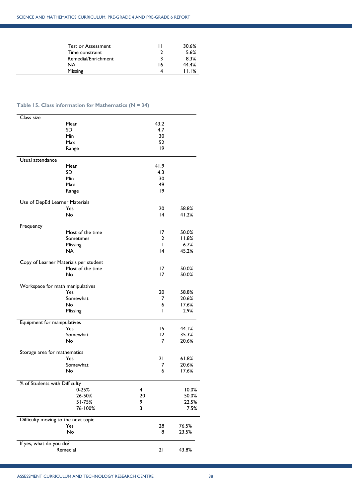| <b>Test or Assessment</b> |    | 30.6% |
|---------------------------|----|-------|
| Time constraint           |    | 5.6%  |
| Remedial/Enrichment       | 3  | 8.3%  |
| NA                        | 16 | 44.4% |
| Missing                   | 4  | 11.1% |

# <span id="page-37-0"></span>**Table 15. Class information for Mathematics (N = 34)**

 $\mathbb{R}^2$ 

| Class size                     |                                       |                 |       |
|--------------------------------|---------------------------------------|-----------------|-------|
|                                | Mean                                  | 43.2            |       |
|                                | SD                                    | 4.7             |       |
|                                | Min                                   | 30              |       |
|                                | Max                                   | 52              |       |
|                                | Range                                 | 9               |       |
|                                |                                       |                 |       |
| Usual attendance               |                                       |                 |       |
|                                | Mean                                  | 41.9            |       |
|                                | SD                                    | 4.3             |       |
|                                | Min                                   | 30              |       |
|                                | Max                                   | 49              |       |
|                                | Range                                 | 9               |       |
|                                |                                       |                 |       |
| Use of DepEd Learner Materials |                                       |                 |       |
|                                | Yes                                   | 20              | 58.8% |
|                                | <b>No</b>                             | $\overline{14}$ | 41.2% |
| Frequency                      |                                       |                 |       |
|                                | Most of the time                      | 17              | 50.0% |
|                                | Sometimes                             | 2               | 11.8% |
|                                |                                       | $\mathbf{I}$    | 6.7%  |
|                                | Missing                               |                 |       |
|                                | <b>NA</b>                             | 14              | 45.2% |
|                                | Copy of Learner Materials per student |                 |       |
|                                | Most of the time                      | 17              | 50.0% |
|                                | No                                    | 17              | 50.0% |
|                                |                                       |                 |       |
|                                | Workspace for math manipulatives      |                 |       |
|                                | Yes                                   | 20              | 58.8% |
|                                | Somewhat                              | 7               | 20.6% |
|                                | No                                    | 6               | 17.6% |
|                                | Missing                               | ı               | 2.9%  |
|                                |                                       |                 |       |
| Equipment for manipulatives    | Yes                                   | 15              | 44.I% |
|                                |                                       |                 |       |
|                                | Somewhat                              | $12 \,$         | 35.3% |
|                                | No                                    | 7               | 20.6% |
| Storage area for mathematics   |                                       |                 |       |
|                                | Yes                                   | 21              | 61.8% |
|                                | Somewhat                              | 7               | 20.6% |
|                                | No                                    | 6               | 17.6% |
|                                |                                       |                 |       |
| % of Students with Difficulty  |                                       |                 |       |
|                                | $0 - 25%$                             | 4               | 10.0% |
|                                | 26-50%                                | 20              | 50.0% |
|                                | 51-75%                                | 9               | 22.5% |
|                                | 76-100%                               | 3               | 7.5%  |
|                                |                                       |                 |       |
|                                | Difficulty moving to the next topic   |                 |       |
|                                | Yes                                   | 28              | 76.5% |
|                                | No                                    | 8               | 23.5% |
|                                |                                       |                 |       |
| If yes, what do you do?        |                                       |                 |       |
|                                | Remedial                              | 21              | 43.8% |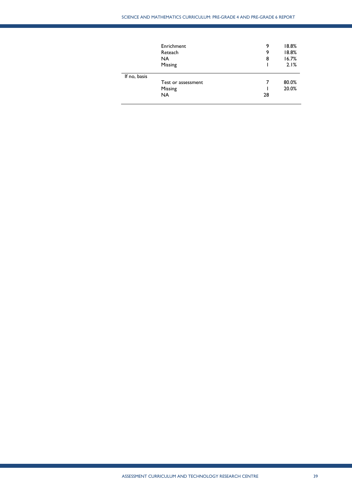|              | Enrichment<br>Reteach<br>NA. | 9<br>9<br>8 | 18.8%<br>18.8%<br>16.7% |
|--------------|------------------------------|-------------|-------------------------|
|              | Missing                      |             | 2.1%                    |
| If no, basis |                              |             |                         |
|              | Test or assessment           |             | 80.0%                   |
|              | Missing                      |             | 20.0%                   |
|              | NA.                          | 28          |                         |